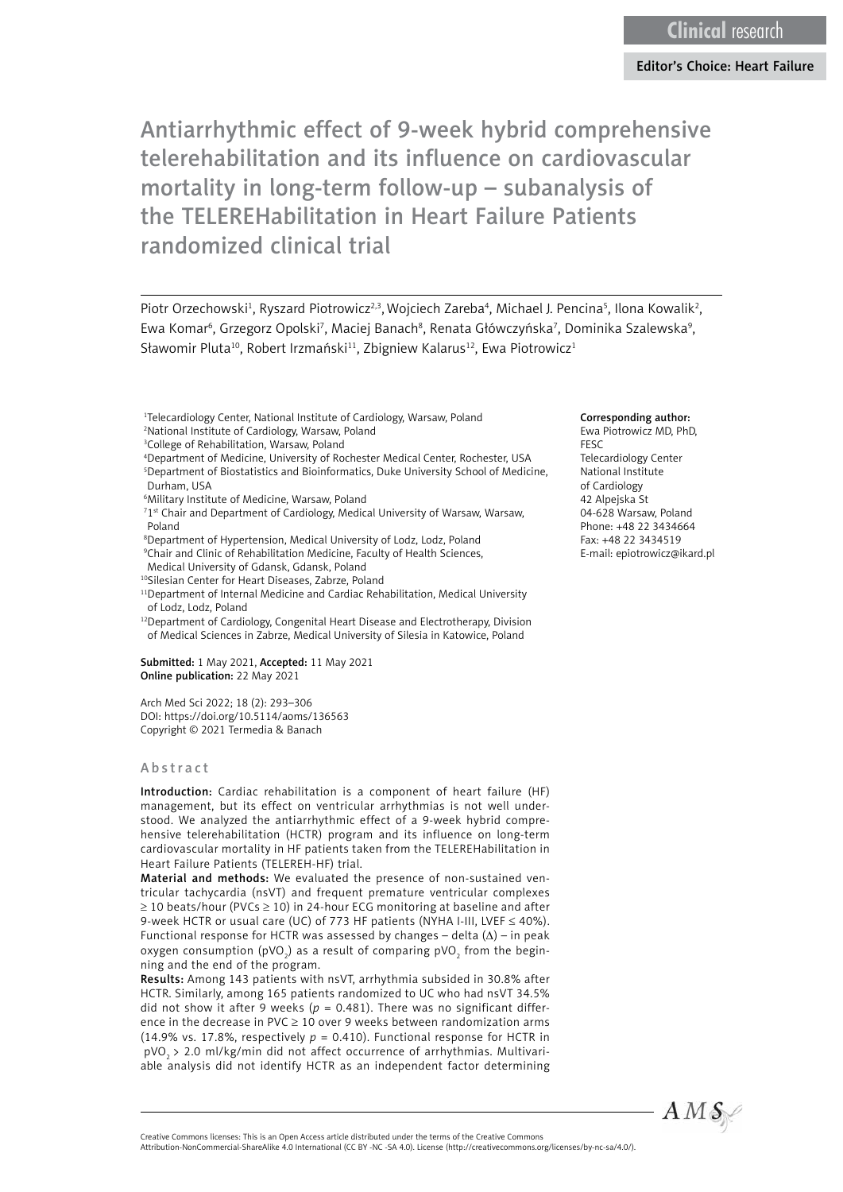Piotr Orzechowski<sup>1</sup>, Ryszard Piotrowicz<sup>2,3</sup>, Wojciech Zareba<sup>4</sup>, Michael J. Pencina<sup>5</sup>, Ilona Kowalik<sup>2</sup>, Ewa Komar<sup>6</sup>, Grzegorz Opolski<sup>7</sup>, Maciej Banach<sup>8</sup>, Renata Główczyńska<sup>7</sup>, Dominika Szalewska<sup>9</sup>, Sławomir Pluta<sup>10</sup>, Robert Irzmański<sup>11</sup>, Zbigniew Kalarus<sup>12</sup>, Ewa Piotrowicz<sup>1</sup>

- 1 Telecardiology Center, National Institute of Cardiology, Warsaw, Poland 2 National Institute of Cardiology, Warsaw, Poland
- <sup>3</sup>College of Rehabilitation, Warsaw, Poland
- 4 Department of Medicine, University of Rochester Medical Center, Rochester, USA 5 Department of Biostatistics and Bioinformatics, Duke University School of Medicine, Durham, USA
- 6 Military Institute of Medicine, Warsaw, Poland
- <sup>71st</sup> Chair and Department of Cardiology, Medical University of Warsaw, Warsaw, Poland
- 8 Department of Hypertension, Medical University of Lodz, Lodz, Poland 9 Chair and Clinic of Rehabilitation Medicine, Faculty of Health Sciences, Medical University of Gdansk, Gdansk, Poland
- 10Silesian Center for Heart Diseases, Zabrze, Poland

<sup>11</sup>Department of Internal Medicine and Cardiac Rehabilitation, Medical University

of Lodz, Lodz, Poland <sup>12</sup>Department of Cardiology, Congenital Heart Disease and Electrotherapy, Division of Medical Sciences in Zabrze, Medical University of Silesia in Katowice, Poland

Submitted: 1 May 2021, Accepted: 11 May 2021 Online publication: 22 May 2021

Arch Med Sci 2022; 18 (2): 293–306 DOI: https://doi.org[/10.5114/aoms/136563](https://doi.org/10.5114/aoms/136563) Copyright © 2021 Termedia & Banach

#### Abstract

Introduction: Cardiac rehabilitation is a component of heart failure (HF) management, but its effect on ventricular arrhythmias is not well understood. We analyzed the antiarrhythmic effect of a 9-week hybrid comprehensive telerehabilitation (HCTR) program and its influence on long-term cardiovascular mortality in HF patients taken from the TELEREHabilitation in Heart Failure Patients (TELEREH-HF) trial.

Material and methods: We evaluated the presence of non-sustained ventricular tachycardia (nsVT) and frequent premature ventricular complexes ≥ 10 beats/hour (PVCs ≥ 10) in 24-hour ECG monitoring at baseline and after 9-week HCTR or usual care (UC) of 773 HF patients (NYHA I-III, LVEF  $\leq$  40%). Functional response for HCTR was assessed by changes – delta  $(\Delta)$  – in peak oxygen consumption (pVO<sub>2</sub>) as a result of comparing pVO<sub>2</sub> from the beginning and the end of the program.

Results: Among 143 patients with nsVT, arrhythmia subsided in 30.8% after HCTR. Similarly, among 165 patients randomized to UC who had nsVT 34.5% did not show it after 9 weeks ( $p = 0.481$ ). There was no significant difference in the decrease in PVC  $\geq$  10 over 9 weeks between randomization arms (14.9% vs. 17.8%, respectively  $p = 0.410$ ). Functional response for HCTR in ΔpVO2 > 2.0 ml/kg/min did not affect occurrence of arrhythmias. Multivariable analysis did not identify HCTR as an independent factor determining

#### Corresponding author:

Ewa Piotrowicz MD, PhD, FESC Telecardiology Center National Institute of Cardiology 42 Alpejska St 04-628 Warsaw, Poland Phone: +48 22 3434664 Fax: +48 22 3434519 E-mail: epiotrowicz@ikard.pl



Attribution-NonCommercial-ShareAlike 4.0 International (CC BY -NC -SA 4.0). License (http://creativecommons.org/licenses/by-nc-sa/4.0/).

Creative Commons licenses: This is an Open Access article distributed under the terms of the Creative Commons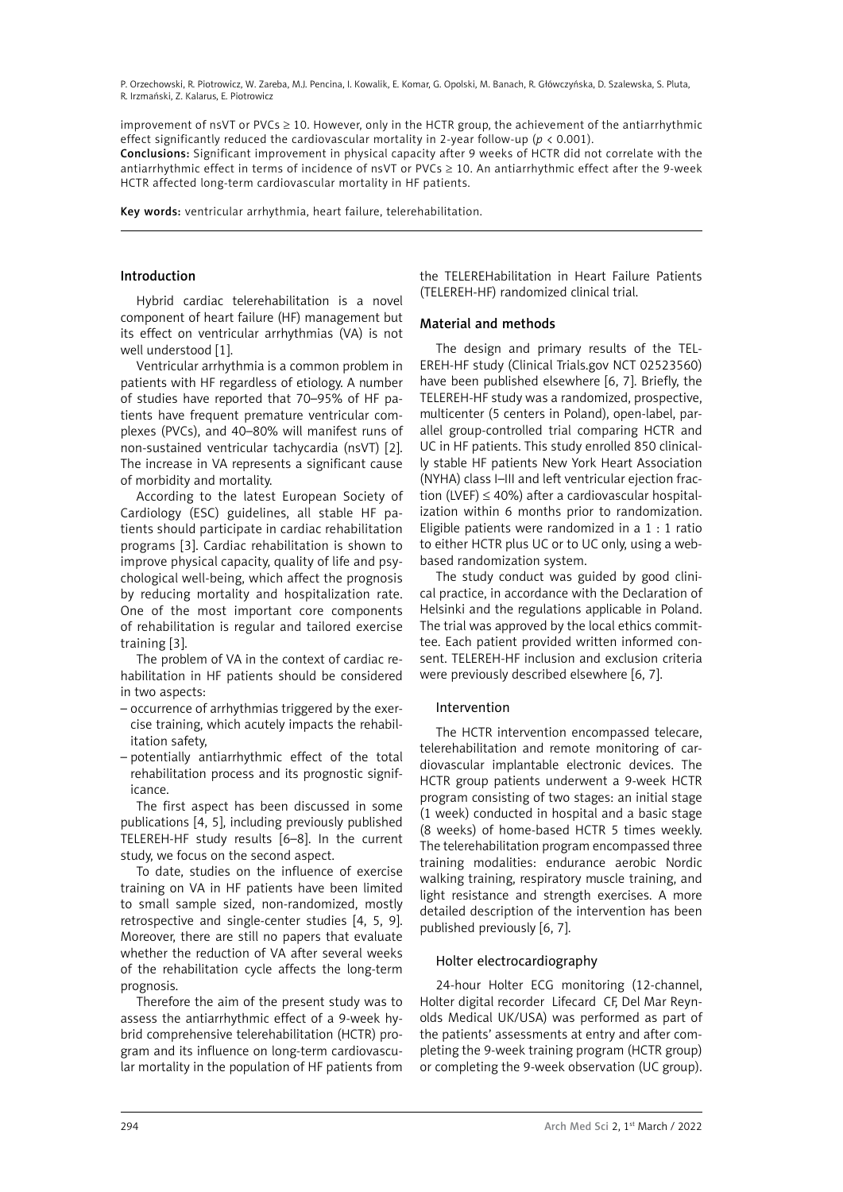improvement of nsVT or PVCs ≥ 10. However, only in the HCTR group, the achievement of the antiarrhythmic effect significantly reduced the cardiovascular mortality in 2-year follow-up (*p* < 0.001).

Conclusions: Significant improvement in physical capacity after 9 weeks of HCTR did not correlate with the antiarrhythmic effect in terms of incidence of nsVT or PVCs ≥ 10. An antiarrhythmic effect after the 9-week HCTR affected long-term cardiovascular mortality in HF patients.

Key words: ventricular arrhythmia, heart failure, telerehabilitation.

#### Introduction

Hybrid cardiac telerehabilitation is a novel component of heart failure (HF) management but its effect on ventricular arrhythmias (VA) is not well understood [1].

Ventricular arrhythmia is a common problem in patients with HF regardless of etiology. A number of studies have reported that 70–95% of HF patients have frequent premature ventricular complexes (PVCs), and 40–80% will manifest runs of non-sustained ventricular tachycardia (nsVT) [2]. The increase in VA represents a significant cause of morbidity and mortality.

According to the latest European Society of Cardiology (ESC) guidelines, all stable HF patients should participate in cardiac rehabilitation programs [3]. Cardiac rehabilitation is shown to improve physical capacity, quality of life and psychological well-being, which affect the prognosis by reducing mortality and hospitalization rate. One of the most important core components of rehabilitation is regular and tailored exercise training [3].

The problem of VA in the context of cardiac rehabilitation in HF patients should be considered in two aspects:

- occurrence of arrhythmias triggered by the exercise training, which acutely impacts the rehabilitation safety,
- potentially antiarrhythmic effect of the total rehabilitation process and its prognostic significance.

The first aspect has been discussed in some publications [4, 5], including previously published TELEREH-HF study results [6–8]. In the current study, we focus on the second aspect.

To date, studies on the influence of exercise training on VA in HF patients have been limited to small sample sized, non-randomized, mostly retrospective and single-center studies [4, 5, 9]. Moreover, there are still no papers that evaluate whether the reduction of VA after several weeks of the rehabilitation cycle affects the long-term prognosis.

Therefore the aim of the present study was to assess the antiarrhythmic effect of a 9-week hybrid comprehensive telerehabilitation (HCTR) program and its influence on long-term cardiovascular mortality in the population of HF patients from the TELEREHabilitation in Heart Failure Patients (TELEREH-HF) randomized clinical trial.

#### Material and methods

The design and primary results of the TEL-EREH-HF study (Clinical Trials.gov NCT 02523560) have been published elsewhere [6, 7]. Briefly, the TELEREH-HF study was a randomized, prospective, multicenter (5 centers in Poland), open-label, parallel group-controlled trial comparing HCTR and UC in HF patients. This study enrolled 850 clinically stable HF patients New York Heart Association (NYHA) class I–III and left ventricular ejection fraction (LVEF)  $\leq$  40%) after a cardiovascular hospitalization within 6 months prior to randomization. Eligible patients were randomized in a 1 : 1 ratio to either HCTR plus UC or to UC only, using a webbased randomization system.

The study conduct was guided by good clinical practice, in accordance with the Declaration of Helsinki and the regulations applicable in Poland. The trial was approved by the local ethics committee. Each patient provided written informed consent. TELEREH-HF inclusion and exclusion criteria were previously described elsewhere [6, 7].

# Intervention

The HCTR intervention encompassed telecare, telerehabilitation and remote monitoring of cardiovascular implantable electronic devices. The HCTR group patients underwent a 9-week HCTR program consisting of two stages: an initial stage (1 week) conducted in hospital and a basic stage (8 weeks) of home-based HCTR 5 times weekly. The telerehabilitation program encompassed three training modalities: endurance aerobic Nordic walking training, respiratory muscle training, and light resistance and strength exercises. A more detailed description of the intervention has been published previously [6, 7].

# Holter electrocardiography

24-hour Holter ECG monitoring (12-channel, Holter digital recorder Lifecard CF, Del Mar Reynolds Medical UK/USA) was performed as part of the patients' assessments at entry and after completing the 9-week training program (HCTR group) or completing the 9-week observation (UC group).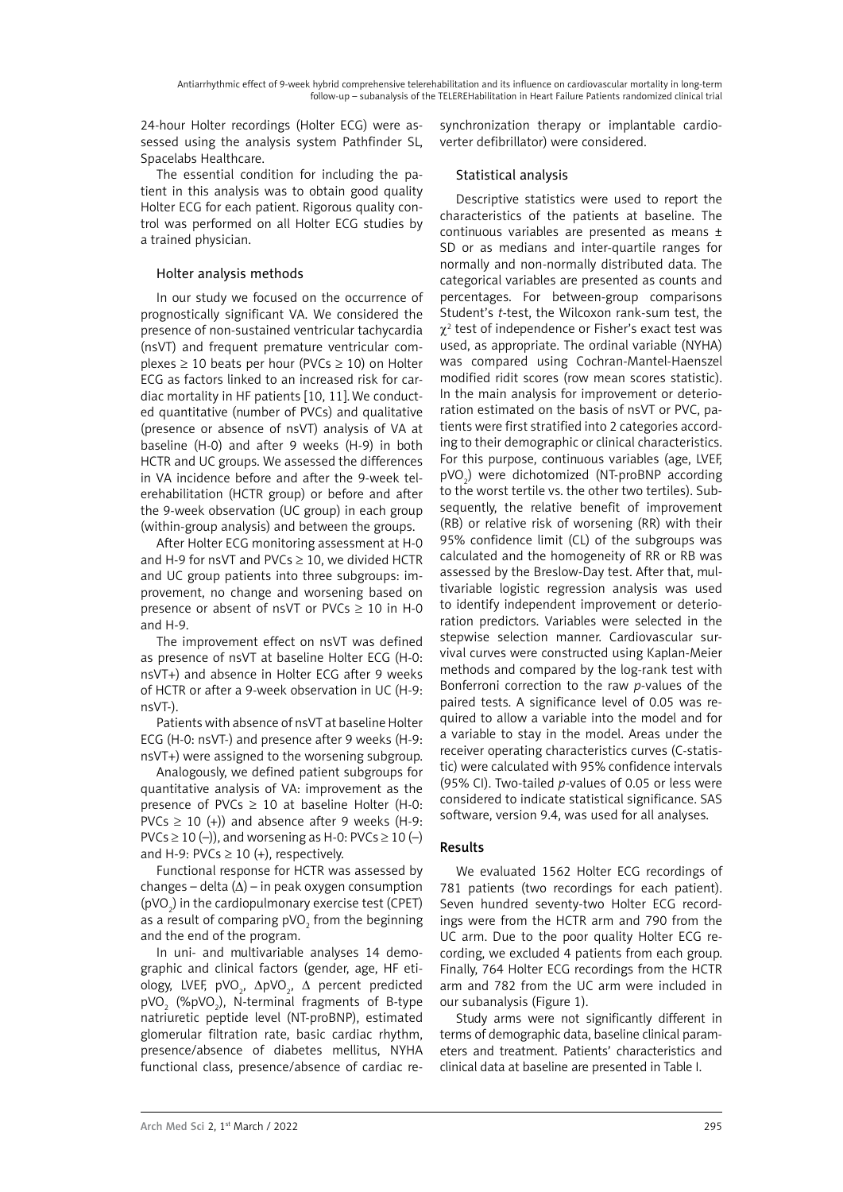24-hour Holter recordings (Holter ECG) were assessed using the analysis system Pathfinder SL, Spacelabs Healthcare.

The essential condition for including the patient in this analysis was to obtain good quality Holter ECG for each patient. Rigorous quality control was performed on all Holter ECG studies by a trained physician.

# Holter analysis methods

[In our study we focused on the occurrence of](https://www.umcvc.org/conditions-treatments/premature-ventricular-contractions-pvcs-and-premature)  [prognostically significant VA. We considered the](https://www.umcvc.org/conditions-treatments/premature-ventricular-contractions-pvcs-and-premature)  [presence of non-sustained ventricular tachycardia](https://www.umcvc.org/conditions-treatments/premature-ventricular-contractions-pvcs-and-premature)  [\(nsVT\) and frequent premature ventricular com](https://www.umcvc.org/conditions-treatments/premature-ventricular-contractions-pvcs-and-premature)plexes  $\geq 10$  beats per hour (PVCs  $\geq 10$ ) on Holter [ECG as factors linked to an increased risk for car](https://www.umcvc.org/conditions-treatments/premature-ventricular-contractions-pvcs-and-premature)[diac mortality in HF patients \[10, 11\].We conduct](https://www.umcvc.org/conditions-treatments/premature-ventricular-contractions-pvcs-and-premature)[ed](https://www.umcvc.org/conditions-treatments/premature-ventricular-contractions-pvcs-and-premature) quantitative (number of PVCs) and qualitative (presence or absence of nsVT) analysis of VA at baseline (H-0) and after 9 weeks (H-9) in both HCTR and UC groups. We assessed the differences in VA incidence before and after the 9-week telerehabilitation (HCTR group) or before and after the 9-week observation (UC group) in each group (within-group analysis) and between the groups.

After Holter ECG monitoring assessment at H-0 and H-9 for nsVT and PVCs  $\geq$  10, we divided HCTR and UC group patients into three subgroups: improvement, no change and worsening based on presence or absent of nsVT or PVCs  $\geq$  10 in H-0 and H-9.

The improvement effect on nsVT was defined as presence of nsVT at baseline Holter ECG (H-0: nsVT+) and absence in Holter ECG after 9 weeks of HCTR or after a 9-week observation in UC (H-9: nsVT-).

Patients with absence of nsVT at baseline Holter ECG (H-0: nsVT-) and presence after 9 weeks (H-9: nsVT+) were assigned to the worsening subgroup.

Analogously, we defined patient subgroups for quantitative analysis of VA: improvement as the presence of PVCs  $\geq$  10 at baseline Holter (H-0: PVCs  $\geq$  10 (+)) and absence after 9 weeks (H-9: PVCs  $\geq$  10 (–)), and worsening as H-0: PVCs  $\geq$  10 (–) and H-9: PVCs  $\geq$  10 (+), respectively.

Functional response for HCTR was assessed by changes – delta  $(\Delta)$  – in peak oxygen consumption ( $pVO<sub>2</sub>$ ) in the cardiopulmonary exercise test (CPET) as a result of comparing pVO<sub>2</sub> from the beginning and the end of the program.

In uni- and multivariable analyses 14 demographic and clinical factors (gender, age, HF etiology, LVEF, pVO<sub>2</sub>, ∆pVO<sub>2</sub>, ∆ percent predicted pVO<sub>2</sub> (%pVO<sub>2</sub>), N-terminal fragments of B-type natriuretic peptide level (NT-proBNP), estimated glomerular filtration rate, basic cardiac rhythm, presence/absence of diabetes mellitus, NYHA functional class, presence/absence of cardiac resynchronization therapy or implantable cardioverter defibrillator) were considered.

# Statistical analysis

Descriptive statistics were used to report the characteristics of the patients at baseline. The continuous variables are presented as means ± SD or as medians and inter-quartile ranges for normally and non-normally distributed data. The categorical variables are presented as counts and percentages. For between-group comparisons Student's *t*-test, the Wilcoxon rank-sum test, the  $\chi^2$  test of independence or Fisher's exact test was used, as appropriate. The ordinal variable (NYHA) was compared using Cochran-Mantel-Haenszel modified ridit scores (row mean scores statistic). In the main analysis for improvement or deterioration estimated on the basis of nsVT or PVC, patients were first stratified into 2 categories according to their demographic or clinical characteristics. For this purpose, continuous variables (age, LVEF, pVO<sub>2</sub>) were dichotomized (NT-proBNP according to the worst tertile vs. the other two tertiles). Subsequently, the relative benefit of improvement (RB) or relative risk of worsening (RR) with their 95% confidence limit (CL) of the subgroups was calculated and the homogeneity of RR or RB was assessed by the Breslow-Day test. After that, multivariable logistic regression analysis was used to identify independent improvement or deterioration predictors. Variables were selected in the stepwise selection manner. Cardiovascular survival curves were constructed using Kaplan-Meier methods and compared by the log-rank test with Bonferroni correction to the raw *p*-values of the paired tests. A significance level of 0.05 was required to allow a variable into the model and for a variable to stay in the model. Areas under the receiver operating characteristics curves (C-statistic) were calculated with 95% confidence intervals (95% CI). Two-tailed *p*-values of 0.05 or less were considered to indicate statistical significance. SAS software, version 9.4, was used for all analyses.

# Results

We evaluated 1562 Holter ECG recordings of 781 patients (two recordings for each patient). Seven hundred seventy-two Holter ECG recordings were from the HCTR arm and 790 from the UC arm. Due to the poor quality Holter ECG recording, we excluded 4 patients from each group. Finally, 764 Holter ECG recordings from the HCTR arm and 782 from the UC arm were included in our subanalysis (Figure 1).

Study arms were not significantly different in terms of demographic data, baseline clinical parameters and treatment. Patients' characteristics and clinical data at baseline are presented in Table I.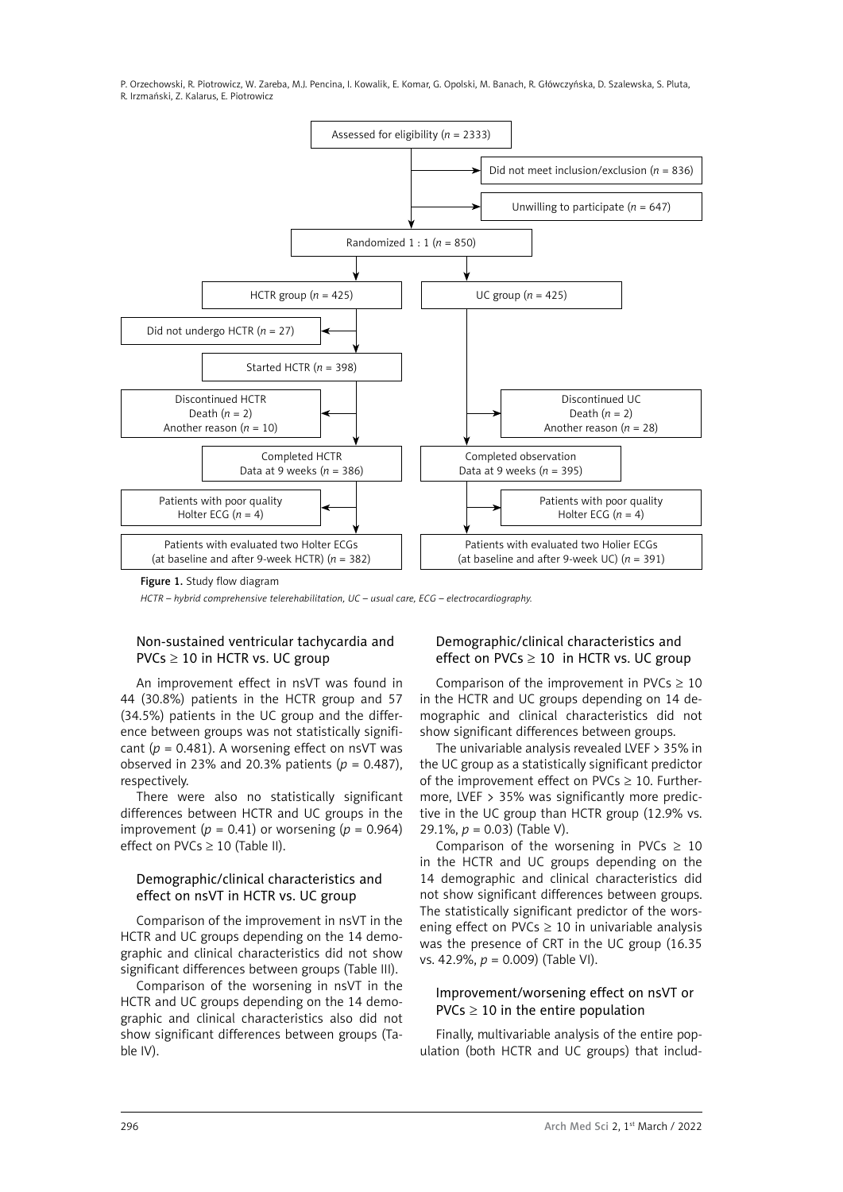

*HCTR – hybrid comprehensive telerehabilitation, UC – usual care, ECG – electrocardiography.*

# Non-sustained ventricular tachycardia and  $PVCs \geq 10$  in HCTR vs. UC group

An improvement effect in nsVT was found in 44 (30.8%) patients in the HCTR group and 57 (34.5%) patients in the UC group and the difference between groups was not statistically significant ( $p = 0.481$ ). A worsening effect on nsVT was observed in 23% and 20.3% patients  $(p = 0.487)$ , respectively.

There were also no statistically significant differences between HCTR and UC groups in the improvement ( $p = 0.41$ ) or worsening ( $p = 0.964$ ) effect on PVCs  $\geq$  10 (Table II).

# Demographic/clinical characteristics and effect on nsVT in HCTR vs. UC group

Comparison of the improvement in nsVT in the HCTR and UC groups depending on the 14 demographic and clinical characteristics did not show significant differences between groups (Table III).

Comparison of the worsening in nsVT in the HCTR and UC groups depending on the 14 demographic and clinical characteristics also did not show significant differences between groups (Table IV).

# Demographic/clinical characteristics and effect on PVCs  $\geq 10$  in HCTR vs. UC group

Comparison of the improvement in PVCs  $\geq$  10 in the HCTR and UC groups depending on 14 demographic and clinical characteristics did not show significant differences between groups.

The univariable analysis revealed LVEF > 35% in the UC group as a statistically significant predictor of the improvement effect on PVCs  $\geq$  10. Furthermore, LVEF > 35% was significantly more predictive in the UC group than HCTR group (12.9% vs. 29.1%, *p* = 0.03) (Table V).

Comparison of the worsening in PVCs  $\geq$  10 in the HCTR and UC groups depending on the 14 demographic and clinical characteristics did not show significant differences between groups. The statistically significant predictor of the worsening effect on PVCs  $\geq$  10 in univariable analysis was the presence of CRT in the UC group (16.35 vs. 42.9%, *p* = 0.009) (Table VI).

#### Improvement/worsening effect on nsVT or  $PVCs \geq 10$  in the entire population

Finally, multivariable analysis of the entire population (both HCTR and UC groups) that includ-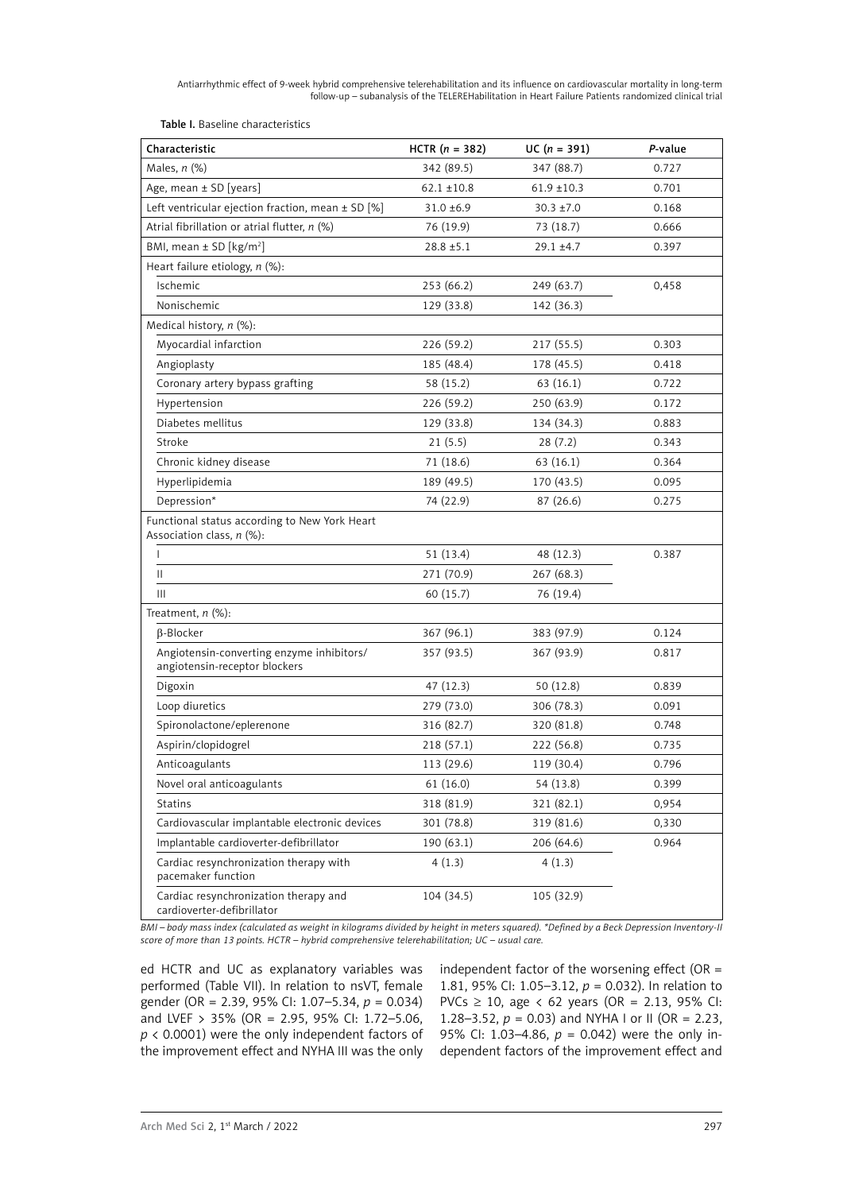Table I. Baseline characteristics

| Characteristic                                                             | HCTR $(n = 382)$ | $UC (n = 391)$  | P-value |
|----------------------------------------------------------------------------|------------------|-----------------|---------|
| Males, $n$ (%)                                                             | 342 (89.5)       | 347 (88.7)      | 0.727   |
| Age, mean ± SD [years]                                                     | $62.1 \pm 10.8$  | $61.9 \pm 10.3$ | 0.701   |
| Left ventricular ejection fraction, mean $\pm$ SD [%]                      | $31.0 \pm 6.9$   | $30.3 \pm 7.0$  | 0.168   |
| Atrial fibrillation or atrial flutter, n (%)                               | 76 (19.9)        | 73 (18.7)       | 0.666   |
| BMI, mean ± SD [kg/m <sup>2</sup> ]                                        | $28.8 \pm 5.1$   | $29.1 + 4.7$    | 0.397   |
| Heart failure etiology, $n$ (%):                                           |                  |                 |         |
| Ischemic                                                                   | 253 (66.2)       | 249 (63.7)      | 0,458   |
| Nonischemic                                                                | 129 (33.8)       | 142 (36.3)      |         |
| Medical history, n (%):                                                    |                  |                 |         |
| Myocardial infarction                                                      | 226 (59.2)       | 217 (55.5)      | 0.303   |
| Angioplasty                                                                | 185 (48.4)       | 178 (45.5)      | 0.418   |
| Coronary artery bypass grafting                                            | 58 (15.2)        | 63 (16.1)       | 0.722   |
| Hypertension                                                               | 226 (59.2)       | 250 (63.9)      | 0.172   |
| Diabetes mellitus                                                          | 129 (33.8)       | 134 (34.3)      | 0.883   |
| Stroke                                                                     | 21(5.5)          | 28(7.2)         | 0.343   |
| Chronic kidney disease                                                     | 71 (18.6)        | 63 (16.1)       | 0.364   |
| Hyperlipidemia                                                             | 189 (49.5)       | 170 (43.5)      | 0.095   |
| Depression*                                                                | 74 (22.9)        | 87 (26.6)       | 0.275   |
| Functional status according to New York Heart<br>Association class, n (%): |                  |                 |         |
| L                                                                          | 51 (13.4)        | 48 (12.3)       | 0.387   |
| Ш                                                                          | 271 (70.9)       | 267 (68.3)      |         |
| Ш                                                                          | 60 (15.7)        | 76 (19.4)       |         |
| Treatment, $n$ (%):                                                        |                  |                 |         |
| B-Blocker                                                                  | 367 (96.1)       | 383 (97.9)      | 0.124   |
| Angiotensin-converting enzyme inhibitors/<br>angiotensin-receptor blockers | 357 (93.5)       | 367 (93.9)      | 0.817   |
| Digoxin                                                                    | 47 (12.3)        | 50 (12.8)       | 0.839   |
| Loop diuretics                                                             | 279 (73.0)       | 306 (78.3)      | 0.091   |
| Spironolactone/eplerenone                                                  | 316 (82.7)       | 320 (81.8)      | 0.748   |
| Aspirin/clopidogrel                                                        | 218 (57.1)       | 222 (56.8)      | 0.735   |
| Anticoagulants                                                             | 113 (29.6)       | 119 (30.4)      | 0.796   |
| Novel oral anticoagulants                                                  | 61 (16.0)        | 54 (13.8)       | 0.399   |
| <b>Statins</b>                                                             | 318 (81.9)       | 321 (82.1)      | 0,954   |
| Cardiovascular implantable electronic devices                              | 301 (78.8)       | 319 (81.6)      | 0,330   |
| Implantable cardioverter-defibrillator                                     | 190 (63.1)       | 206 (64.6)      | 0.964   |
| Cardiac resynchronization therapy with<br>pacemaker function               | 4 (1.3)          | 4(1.3)          |         |
| Cardiac resynchronization therapy and<br>cardioverter-defibrillator        | 104 (34.5)       | 105 (32.9)      |         |

*BMI – body mass index (calculated as weight in kilograms divided by height in meters squared). \*Defined by a Beck Depression Inventory-II score of more than 13 points. HCTR – hybrid comprehensive telerehabilitation; UC – usual care.*

ed HCTR and UC as explanatory variables was performed (Table VII). In relation to nsVT, female gender (OR = 2.39, 95% CI: 1.07–5.34, *p* = 0.034) and LVEF > 35% (OR = 2.95, 95% CI: 1.72–5.06, *p* < 0.0001) were the only independent factors of the improvement effect and NYHA III was the only

independent factor of the worsening effect (OR  $=$ 1.81, 95% CI: 1.05–3.12, *p* = 0.032). In relation to PVCs ≥ 10, age < 62 years (OR = 2.13, 95% CI: 1.28–3.52,  $p = 0.03$ ) and NYHA I or II (OR = 2.23, 95% CI: 1.03–4.86, *p* = 0.042) were the only independent factors of the improvement effect and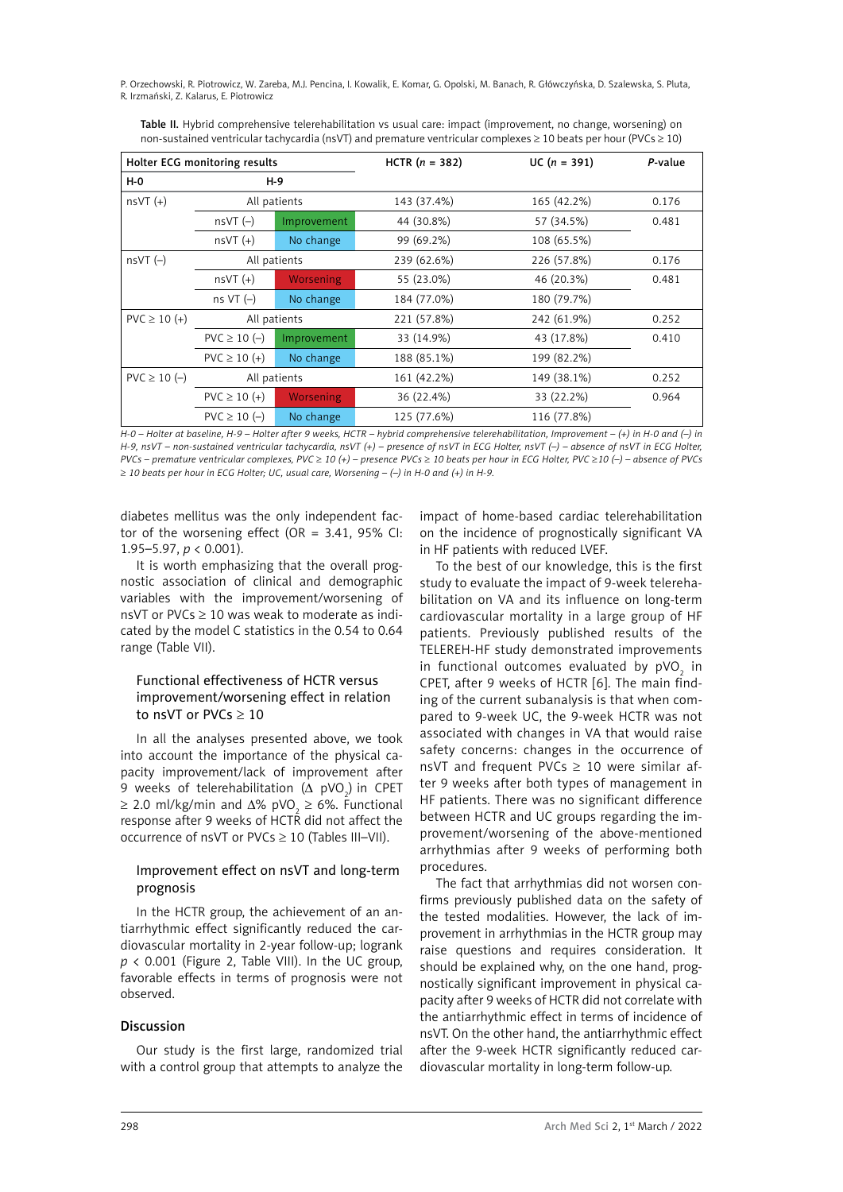| Holter ECG monitoring results |                  | HCTR $(n = 382)$ | $UC (n = 391)$ | P-value     |       |
|-------------------------------|------------------|------------------|----------------|-------------|-------|
| <b>H-0</b>                    | $H-9$            |                  |                |             |       |
| $nsVT (+)$                    |                  | All patients     | 143 (37.4%)    | 165 (42.2%) | 0.176 |
|                               | $nsVT(-)$        | Improvement      | 44 (30.8%)     | 57 (34.5%)  | 0.481 |
|                               | $nsVT (+)$       | No change        | 99 (69.2%)     | 108 (65.5%) |       |
| $nsVT(-)$                     |                  | All patients     | 239 (62.6%)    | 226 (57.8%) | 0.176 |
|                               | $nsVT (+)$       | Worsening        | 55 (23.0%)     | 46 (20.3%)  | 0.481 |
|                               | ns VT $(-)$      | No change        | 184 (77.0%)    | 180 (79.7%) |       |
| $PVC \ge 10 (+)$              |                  | All patients     | 221 (57.8%)    | 242 (61.9%) | 0.252 |
|                               | $PVC \ge 10 (-)$ | Improvement      | 33 (14.9%)     | 43 (17.8%)  | 0.410 |
|                               | $PVC \ge 10 (+)$ | No change        | 188 (85.1%)    | 199 (82.2%) |       |
| $PVC \ge 10 (-)$              |                  | All patients     | 161 (42.2%)    | 149 (38.1%) | 0.252 |
|                               | $PVC \ge 10 (+)$ | Worsening        | 36 (22.4%)     | 33 (22.2%)  | 0.964 |
|                               | $PVC \ge 10 (-)$ | No change        | 125 (77.6%)    | 116 (77.8%) |       |

Table II. Hybrid comprehensive telerehabilitation vs usual care: impact (improvement, no change, worsening) on non-sustained ventricular tachycardia (nsVT) and premature ventricular complexes ≥ 10 beats per hour (PVCs ≥ 10)

*H-0 – Holter at baseline, H-9 – Holter after 9 weeks, HCTR – hybrid comprehensive telerehabilitation, Improvement – (+) in H-0 and (–) in H-9, nsVT – non-sustained ventricular tachycardia, nsVT (+) – presence of nsVT in ECG Holter, nsVT (–) – absence of nsVT in ECG Holter, PVCs – premature ventricular complexes, PVC* ≥ *10 (+) – presence PVCs* ≥ *10 beats per hour in ECG Holter, PVC* ≥*10 (–) – absence of PVCs*  ≥ *10 beats per hour in ECG Holter; UC, usual care, Worsening – (–) in H-0 and (+) in H-9.*

diabetes mellitus was the only independent factor of the worsening effect (OR =  $3.41$ , 95% CI: 1.95–5.97, *p* < 0.001).

It is worth emphasizing that the overall prognostic association of clinical and demographic variables with the improvement/worsening of nsVT or PVCs  $\geq 10$  was weak to moderate as indicated by the model C statistics in the 0.54 to 0.64 range (Table VII).

# Functional effectiveness of HCTR versus improvement/worsening effect in relation to nsVT or PVCs ≥ 10

In all the analyses presented above, we took into account the importance of the physical capacity improvement/lack of improvement after 9 weeks of telerehabilitation ( $\Delta$  pVO<sub>2</sub>) in CPET  $\geq$  2.0 ml/kg/min and  $\Delta\%$  pVO<sub>2</sub>  $\geq$  6%. Functional response after 9 weeks of HCTR did not affect the occurrence of nsVT or PVCs ≥ 10 (Tables III–VII).

# Improvement effect on nsVT and long-term prognosis

In the HCTR group, the achievement of an antiarrhythmic effect significantly reduced the cardiovascular mortality in 2-year follow-up; logrank  $p$  < 0.001 (Figure 2, Table VIII). In the UC group, favorable effects in terms of prognosis were not observed.

#### **Discussion**

Our study is the first large, randomized trial with a control group that attempts to analyze the impact of home-based cardiac telerehabilitation on the incidence of prognostically significant VA in HF patients with reduced LVEF.

To the best of our knowledge, this is the first study to evaluate the impact of 9-week telerehabilitation on VA and its influence on long-term cardiovascular mortality in a large group of HF patients. Previously published results of the TELEREH-HF study demonstrated improvements in functional outcomes evaluated by pVO<sub>2</sub> in CPET, after 9 weeks of HCTR [6]. The main finding of the current subanalysis is that when compared to 9-week UC, the 9-week HCTR was not associated with changes in VA that would raise safety concerns: changes in the occurrence of nsVT and frequent PVCs  $\geq$  10 were similar after 9 weeks after both types of management in HF patients. There was no significant difference between HCTR and UC groups regarding the improvement/worsening of the above-mentioned arrhythmias after 9 weeks of performing both procedures.

The fact that arrhythmias did not worsen confirms previously published data on the safety of the tested modalities. However, the lack of improvement in arrhythmias in the HCTR group may raise questions and requires consideration. It should be explained why, on the one hand, prognostically significant improvement in physical capacity after 9 weeks of HCTR did not correlate with the antiarrhythmic effect in terms of incidence of nsVT. On the other hand, the antiarrhythmic effect after the 9-week HCTR significantly reduced cardiovascular mortality in long-term follow-up.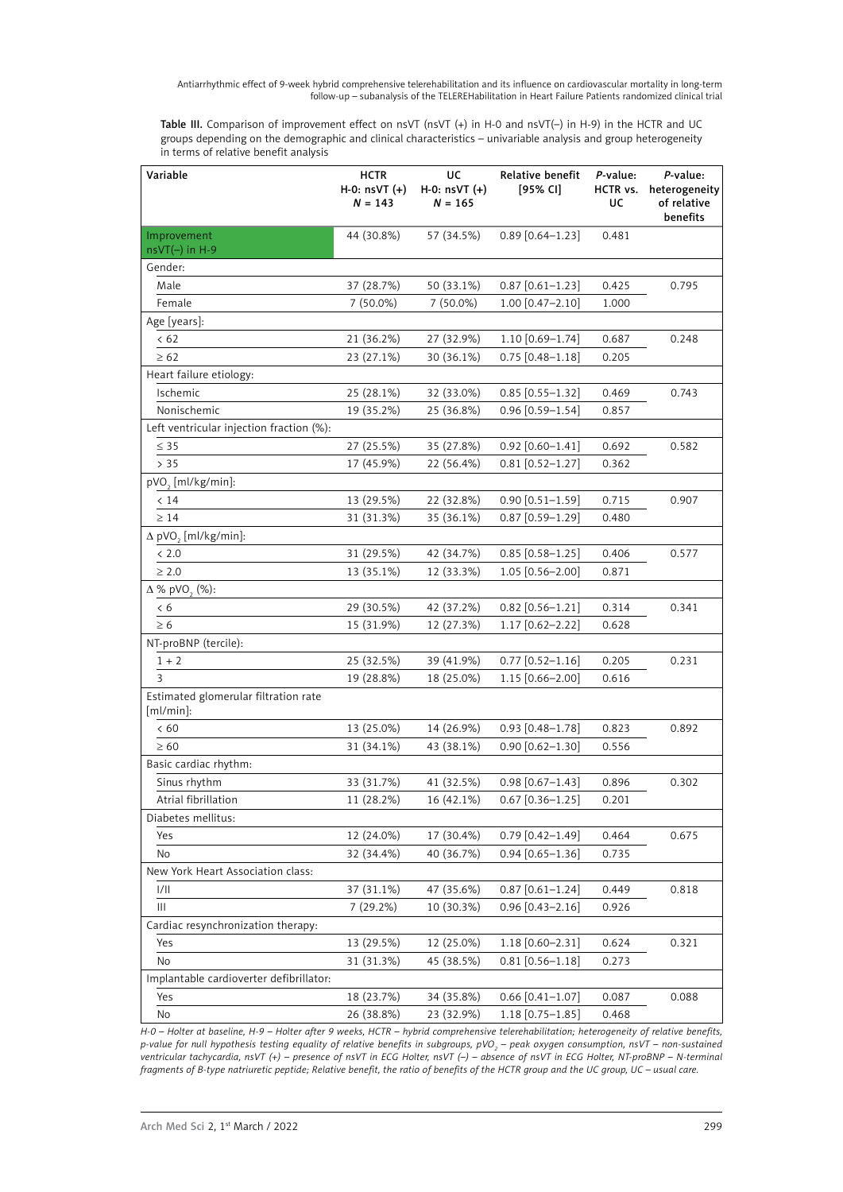Table III. Comparison of improvement effect on nsVT (nsVT (+) in H-0 and nsVT(-) in H-9) in the HCTR and UC groups depending on the demographic and clinical characteristics – univariable analysis and group heterogeneity in terms of relative benefit analysis

| Variable                                             | <b>HCTR</b><br>$H-0:$ nsVT $(+)$<br>$N = 143$ | UC<br>$H - 0$ : nsVT $(+)$<br>$N = 165$ | Relative benefit<br>[95% CI] | P-value:<br>HCTR vs.<br>UC | P-value:<br>heterogeneity<br>of relative<br>benefits |
|------------------------------------------------------|-----------------------------------------------|-----------------------------------------|------------------------------|----------------------------|------------------------------------------------------|
| Improvement                                          | 44 (30.8%)                                    | 57 (34.5%)                              | $0.89$ [0.64-1.23]           | 0.481                      |                                                      |
| $nsVT(-)$ in H-9                                     |                                               |                                         |                              |                            |                                                      |
| Gender:                                              |                                               |                                         |                              |                            |                                                      |
| Male                                                 | 37 (28.7%)                                    | 50 (33.1%)                              | $0.87$ [0.61-1.23]           | 0.425                      | 0.795                                                |
| Female                                               | 7 (50.0%)                                     | 7 (50.0%)                               | $1.00$ [0.47-2.10]           | 1.000                      |                                                      |
| Age [years]:                                         |                                               |                                         |                              |                            |                                                      |
| < 62                                                 | 21 (36.2%)                                    | 27 (32.9%)                              | 1.10 [0.69-1.74]             | 0.687                      | 0.248                                                |
| $\geq 62$                                            | 23 (27.1%)                                    | 30 (36.1%)                              | $0.75$ [0.48-1.18]           | 0.205                      |                                                      |
| Heart failure etiology:                              |                                               |                                         |                              |                            |                                                      |
| Ischemic                                             | 25 (28.1%)                                    | 32 (33.0%)                              | $0.85$ [0.55-1.32]           | 0.469                      | 0.743                                                |
| Nonischemic                                          | 19 (35.2%)                                    | 25 (36.8%)                              | $0.96$ [0.59-1.54]           | 0.857                      |                                                      |
| Left ventricular injection fraction (%):             |                                               |                                         |                              |                            |                                                      |
| $\leq$ 35                                            | 27 (25.5%)                                    | 35 (27.8%)                              | $0.92$ [0.60-1.41]           | 0.692                      | 0.582                                                |
| > 35                                                 | 17 (45.9%)                                    | 22 (56.4%)                              | $0.81$ [0.52-1.27]           | 0.362                      |                                                      |
| pVO <sub>2</sub> [ml/kg/min]:                        |                                               |                                         |                              |                            |                                                      |
| < 14                                                 | 13 (29.5%)                                    | 22 (32.8%)                              | $0.90$ [0.51-1.59]           | 0.715                      | 0.907                                                |
| $\geq 14$                                            | 31 (31.3%)                                    | 35 (36.1%)                              | $0.87$ [0.59-1.29]           | 0.480                      |                                                      |
| $\Delta$ pVO <sub>2</sub> [ml/kg/min]:               |                                               |                                         |                              |                            |                                                      |
| < 2.0                                                | 31 (29.5%)                                    | 42 (34.7%)                              | $0.85$ [0.58-1.25]           | 0.406                      | 0.577                                                |
| $\geq 2.0$                                           | 13 (35.1%)                                    | 12 (33.3%)                              | $1.05$ [0.56-2.00]           | 0.871                      |                                                      |
| $\Delta$ % pVO <sub>3</sub> (%):                     |                                               |                                         |                              |                            |                                                      |
| < 6                                                  | 29 (30.5%)                                    | 42 (37.2%)                              | $0.82$ [0.56-1.21]           | 0.314                      | 0.341                                                |
| $\geq 6$                                             | 15 (31.9%)                                    | 12 (27.3%)                              | 1.17 [0.62-2.22]             | 0.628                      |                                                      |
| NT-proBNP (tercile):                                 |                                               |                                         |                              |                            |                                                      |
| $1 + 2$                                              | 25 (32.5%)                                    | 39 (41.9%)                              | $0.77$ [0.52-1.16]           | 0.205                      | 0.231                                                |
| 3                                                    | 19 (28.8%)                                    | 18 (25.0%)                              | 1.15 [0.66-2.00]             | 0.616                      |                                                      |
| Estimated glomerular filtration rate<br>$[ml/min]$ : |                                               |                                         |                              |                            |                                                      |
| < 60                                                 | 13 (25.0%)                                    | 14 (26.9%)                              | $0.93$ [0.48-1.78]           | 0.823                      | 0.892                                                |
| $\geq 60$                                            | 31 (34.1%)                                    | 43 (38.1%)                              | $0.90$ $[0.62 - 1.30]$       | 0.556                      |                                                      |
| Basic cardiac rhythm:                                |                                               |                                         |                              |                            |                                                      |
| Sinus rhythm                                         | 33 (31.7%)                                    | 41 (32.5%)                              | $0.98$ [0.67-1.43]           | 0.896                      | 0.302                                                |
| Atrial fibrillation                                  | 11 (28.2%)                                    | 16 (42.1%)                              | $0.67$ [0.36-1.25]           | 0.201                      |                                                      |
| Diabetes mellitus:                                   |                                               |                                         |                              |                            |                                                      |
| Yes                                                  | 12 (24.0%)                                    | 17 (30.4%)                              | $0.79$ [0.42-1.49]           | 0.464                      | 0.675                                                |
| No                                                   | 32 (34.4%)                                    | 40 (36.7%)                              | $0.94$ [0.65-1.36]           | 0.735                      |                                                      |
| New York Heart Association class:                    |                                               |                                         |                              |                            |                                                      |
| 1/11                                                 | 37 (31.1%)                                    | 47 (35.6%)                              | $0.87$ [0.61-1.24]           | 0.449                      | 0.818                                                |
| Ш                                                    | 7 (29.2%)                                     | 10 (30.3%)                              | $0.96$ $[0.43 - 2.16]$       | 0.926                      |                                                      |
| Cardiac resynchronization therapy:                   |                                               |                                         |                              |                            |                                                      |
| Yes                                                  | 13 (29.5%)                                    | 12 (25.0%)                              | 1.18 [0.60-2.31]             | 0.624                      | 0.321                                                |
| No                                                   | 31 (31.3%)                                    | 45 (38.5%)                              | $0.81$ [0.56-1.18]           | 0.273                      |                                                      |
| Implantable cardioverter defibrillator:              |                                               |                                         |                              |                            |                                                      |
| Yes                                                  | 18 (23.7%)                                    | 34 (35.8%)                              | $0.66$ [0.41-1.07]           | 0.087                      | 0.088                                                |
| No                                                   | 26 (38.8%)                                    | 23 (32.9%)                              | 1.18 [0.75-1.85]             | 0.468                      |                                                      |

*H-0 – Holter at baseline, H-9 – Holter after 9 weeks, HCTR – hybrid comprehensive telerehabilitation; heterogeneity of relative benefits, p-value for null hypothesis testing equality of relative benefits in subgroups, pVO<sub>2</sub> – peak oxygen consumption, nsVT – non-sustained ventricular tachycardia, nsVT (+) – presence of nsVT in ECG Holter, nsVT (–) – absence of nsVT in ECG Holter, NT-proBNP – N-terminal fragments of B-type natriuretic peptide; Relative benefit, the ratio of benefits of the HCTR group and the UC group, UC – usual care.*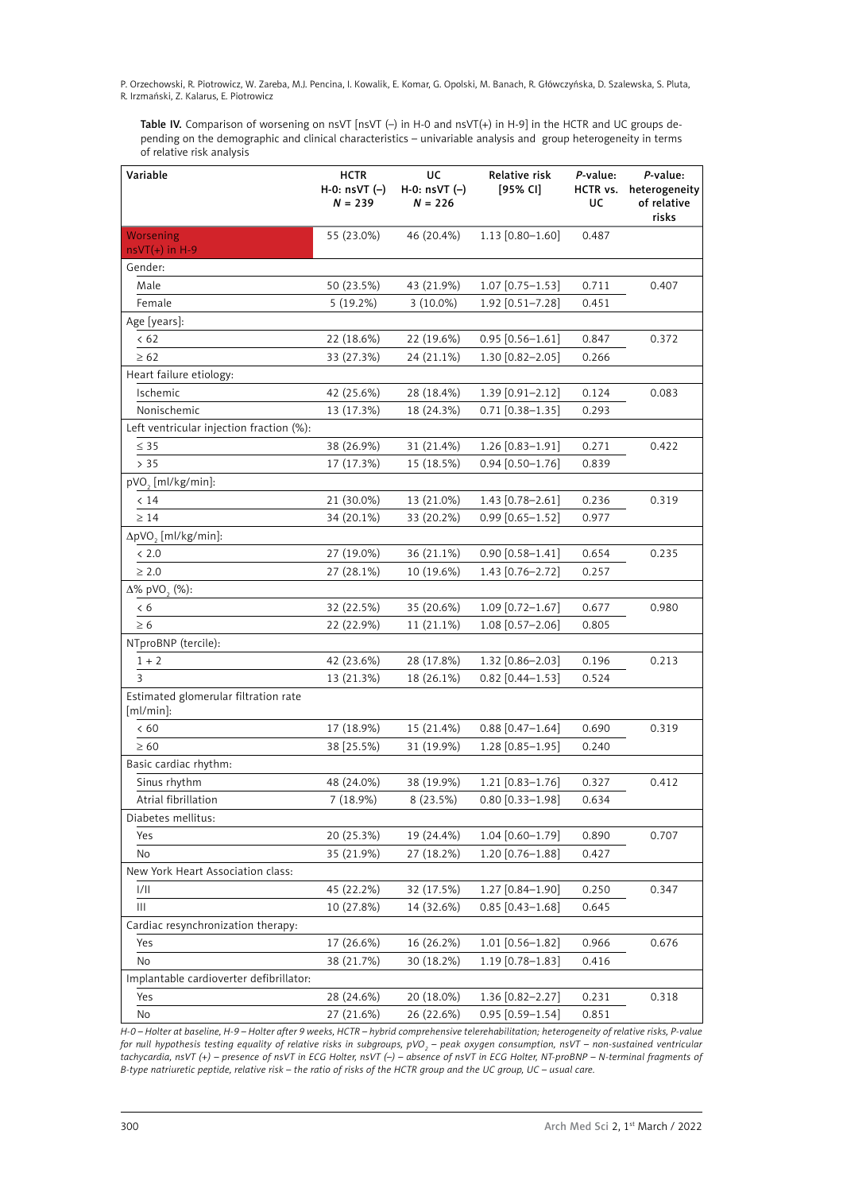Table IV. Comparison of worsening on nsVT [nsVT (-) in H-0 and nsVT(+) in H-9] in the HCTR and UC groups depending on the demographic and clinical characteristics – univariable analysis and group heterogeneity in terms of relative risk analysis

| Variable                                             | <b>HCTR</b><br>H-0: $nsVT$ $(-)$<br>$N = 239$ | UC<br>H-0: $nsVT$ $(-)$<br>$N = 226$ | Relative risk<br>[95% CI]  | P-value:<br>HCTR vs.<br>UC | P-value:<br>heterogeneity<br>of relative<br>risks |
|------------------------------------------------------|-----------------------------------------------|--------------------------------------|----------------------------|----------------------------|---------------------------------------------------|
| Worsening                                            | 55 (23.0%)                                    | 46 (20.4%)                           | $1.13$ [0.80-1.60]         | 0.487                      |                                                   |
| $nsVT(+)$ in H-9<br>Gender:                          |                                               |                                      |                            |                            |                                                   |
| Male                                                 | 50 (23.5%)                                    | 43 (21.9%)                           | $1.07$ [0.75-1.53]         | 0.711                      | 0.407                                             |
| Female                                               | $5(19.2\%)$                                   | $3(10.0\%)$                          | 1.92 [0.51-7.28]           | 0.451                      |                                                   |
| Age [years]:                                         |                                               |                                      |                            |                            |                                                   |
| < 62                                                 | 22 (18.6%)                                    | 22 (19.6%)                           | $0.95$ [0.56-1.61]         | 0.847                      | 0.372                                             |
| $\geq 62$                                            | 33 (27.3%)                                    | 24 (21.1%)                           | 1.30 [0.82-2.05]           | 0.266                      |                                                   |
| Heart failure etiology:                              |                                               |                                      |                            |                            |                                                   |
| Ischemic                                             | 42 (25.6%)                                    | 28 (18.4%)                           | $1.39$ [0.91-2.12]         | 0.124                      | 0.083                                             |
| Nonischemic                                          | 13 (17.3%)                                    | 18 (24.3%)                           | $0.71$ [0.38-1.35]         | 0.293                      |                                                   |
| Left ventricular injection fraction (%):             |                                               |                                      |                            |                            |                                                   |
| $\leq$ 35                                            | 38 (26.9%)                                    | 31 (21.4%)                           | 1.26 [0.83-1.91]           | 0.271                      | 0.422                                             |
| > 35                                                 | 17 (17.3%)                                    | 15 (18.5%)                           | $0.94$ [0.50-1.76]         | 0.839                      |                                                   |
|                                                      |                                               |                                      |                            |                            |                                                   |
| pVO <sub>2</sub> [ml/kg/min]:                        |                                               |                                      |                            | 0.236                      |                                                   |
| < 14                                                 | 21 (30.0%)<br>34 (20.1%)                      | 13 (21.0%)                           | 1.43 [0.78-2.61]           |                            | 0.319                                             |
| $\geq 14$                                            |                                               | 33 (20.2%)                           | $0.99$ $[0.65 - 1.52]$     | 0.977                      |                                                   |
| $\Delta pVO$ , [ml/kg/min]:                          |                                               |                                      |                            |                            |                                                   |
| < 2.0                                                | 27 (19.0%)                                    | 36 (21.1%)                           | $0.90$ [0.58-1.41]         | 0.654                      | 0.235                                             |
| $\geq 2.0$                                           | 27 (28.1%)                                    | 10 (19.6%)                           | 1.43 [0.76-2.72]           | 0.257                      |                                                   |
| $\Delta\%$ pVO <sub>2</sub> (%):                     |                                               |                                      |                            |                            |                                                   |
| < 6                                                  | 32 (22.5%)                                    | 35 (20.6%)                           | $1.09$ [0.72-1.67]         | 0.677                      | 0.980                                             |
| $\geq 6$                                             | 22 (22.9%)                                    | 11 (21.1%)                           | 1.08 [0.57-2.06]           | 0.805                      |                                                   |
| NTproBNP (tercile):                                  |                                               |                                      |                            |                            |                                                   |
| $1 + 2$                                              | 42 (23.6%)                                    | 28 (17.8%)                           | 1.32 [0.86-2.03]           | 0.196                      | 0.213                                             |
| 3                                                    | 13 (21.3%)                                    | 18 (26.1%)                           | $0.82$ [0.44-1.53]         | 0.524                      |                                                   |
| Estimated glomerular filtration rate<br>$[ml/min]$ : |                                               |                                      |                            |                            |                                                   |
| <60                                                  | 17 (18.9%)                                    | 15 (21.4%)                           | $0.88$ [0.47-1.64]         | 0.690                      | 0.319                                             |
| $\geq 60$                                            | 38 [25.5%]                                    | 31 (19.9%)                           | 1.28 [0.85-1.95]           | 0.240                      |                                                   |
| Basic cardiac rhythm:                                |                                               |                                      |                            |                            |                                                   |
| Sinus rhythm                                         | 48 (24.0%)                                    | 38 (19.9%)                           | $1.21$ [0.83-1.76]         | 0.327                      | 0.412                                             |
| Atrial fibrillation                                  | 7 (18.9%)                                     | 8 (23.5%)                            | $0.80 [0.33 - 1.98]$ 0.634 |                            |                                                   |
| Diabetes mellitus:                                   |                                               |                                      |                            |                            |                                                   |
| Yes                                                  | 20 (25.3%)                                    | 19 (24.4%)                           | 1.04 [0.60-1.79]           | 0.890                      | 0.707                                             |
| No                                                   | 35 (21.9%)                                    | 27 (18.2%)                           | 1.20 [0.76-1.88]           | 0.427                      |                                                   |
| New York Heart Association class:                    |                                               |                                      |                            |                            |                                                   |
| 1/11                                                 | 45 (22.2%)                                    | 32 (17.5%)                           | 1.27 [0.84-1.90]           | 0.250                      | 0.347                                             |
| Ш                                                    | 10 (27.8%)                                    | 14 (32.6%)                           | $0.85$ [0.43-1.68]         | 0.645                      |                                                   |
| Cardiac resynchronization therapy:                   |                                               |                                      |                            |                            |                                                   |
| Yes                                                  | 17 (26.6%)                                    | 16 (26.2%)                           | 1.01 [0.56-1.82]           | 0.966                      | 0.676                                             |
| No                                                   | 38 (21.7%)                                    | 30 (18.2%)                           | $1.19$ [0.78–1.83]         | 0.416                      |                                                   |
| Implantable cardioverter defibrillator:              |                                               |                                      |                            |                            |                                                   |
| Yes                                                  | 28 (24.6%)                                    | 20 (18.0%)                           | 1.36 [0.82-2.27]           | 0.231                      | 0.318                                             |
| No                                                   | 27 (21.6%)                                    | 26 (22.6%)                           | $0.95$ [0.59-1.54]         | 0.851                      |                                                   |

*H-0 – Holter at baseline, H-9 – Holter after 9 weeks, HCTR – hybrid comprehensive telerehabilitation; heterogeneity of relative risks, P-value*  for null hypothesis testing equality of relative risks in subgroups, pVO<sub>2</sub> – peak oxygen consumption, nsVT – non-sustained ventricular *tachycardia, nsVT (+) – presence of nsVT in ECG Holter, nsVT (–) – absence of nsVT in ECG Holter, NT-proBNP – N-terminal fragments of B-type natriuretic peptide, relative risk – the ratio of risks of the HCTR group and the UC group, UC – usual care.*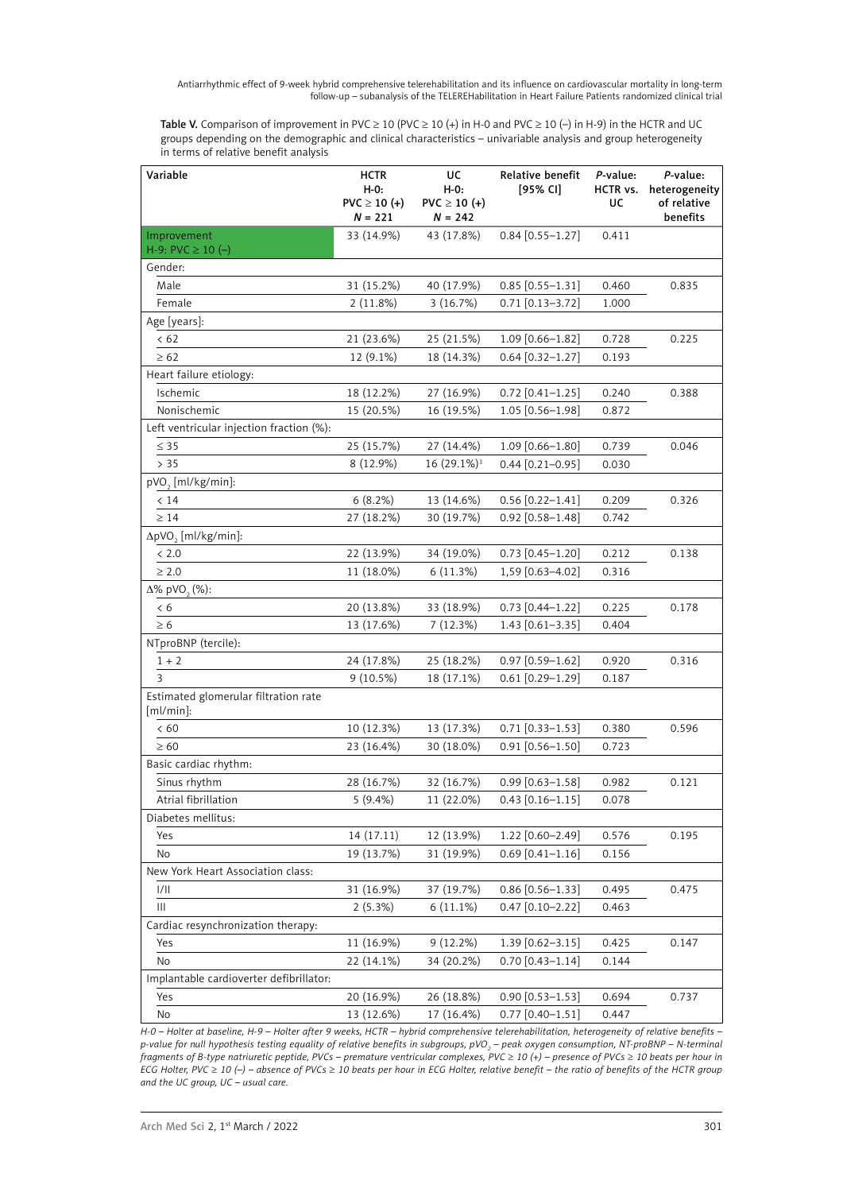Table V. Comparison of improvement in PVC  $\geq$  10 (PVC  $\geq$  10 (+) in H-0 and PVC  $\geq$  10 (-) in H-9) in the HCTR and UC groups depending on the demographic and clinical characteristics – univariable analysis and group heterogeneity in terms of relative benefit analysis

| Variable                                             | <b>HCTR</b><br>$H-O:$<br>$PVC \ge 10 (+)$<br>$N = 221$ | UC<br>H-0:<br>$PVC \ge 10 (+)$<br>$N = 242$ | Relative benefit<br>[95% CI] | P-value:<br>HCTR vs.<br>UC | P-value:<br>heterogeneity<br>of relative<br>benefits |
|------------------------------------------------------|--------------------------------------------------------|---------------------------------------------|------------------------------|----------------------------|------------------------------------------------------|
| Improvement                                          | 33 (14.9%)                                             | 43 (17.8%)                                  | $0.84$ [0.55-1.27]           | 0.411                      |                                                      |
| H-9: PVC $\geq$ 10 (-)                               |                                                        |                                             |                              |                            |                                                      |
| Gender:                                              |                                                        |                                             |                              |                            |                                                      |
| Male                                                 | 31 (15.2%)                                             | 40 (17.9%)                                  | $0.85$ [0.55-1.31]           | 0.460                      | 0.835                                                |
| Female                                               | 2(11.8%)                                               | 3(16.7%)                                    | $0.71$ [0.13-3.72]           | 1.000                      |                                                      |
| Age [years]:                                         |                                                        |                                             |                              |                            |                                                      |
| < 62                                                 | 21 (23.6%)                                             | 25 (21.5%)                                  | 1.09 [0.66-1.82]             | 0.728                      | 0.225                                                |
| $\geq 62$                                            | 12 (9.1%)                                              | 18 (14.3%)                                  | $0.64$ [0.32-1.27]           | 0.193                      |                                                      |
| Heart failure etiology:                              |                                                        |                                             |                              |                            |                                                      |
| Ischemic                                             | 18 (12.2%)                                             | 27 (16.9%)                                  | $0.72$ [0.41-1.25]           | 0.240                      | 0.388                                                |
| Nonischemic                                          | 15 (20.5%)                                             | 16 (19.5%)                                  | 1.05 [0.56-1.98]             | 0.872                      |                                                      |
| Left ventricular injection fraction (%):             |                                                        |                                             |                              |                            |                                                      |
| $\leq$ 35                                            | 25 (15.7%)                                             | 27 (14.4%)                                  | $1.09$ [0.66-1.80]           | 0.739                      | 0.046                                                |
| > 35                                                 | 8 (12.9%)                                              | 16 (29.1%) <sup>3</sup>                     | $0.44$ [0.21-0.95]           | 0.030                      |                                                      |
| pVO <sub>2</sub> [ml/kg/min]:                        |                                                        |                                             |                              |                            |                                                      |
| < 14                                                 | 6(8.2%)                                                | 13 (14.6%)                                  | $0.56$ [0.22-1.41]           | 0.209                      | 0.326                                                |
| $\geq 14$                                            | 27 (18.2%)                                             | 30 (19.7%)                                  | $0.92$ [0.58-1.48]           | 0.742                      |                                                      |
| ΔpVO <sub>2</sub> [ml/kg/min]:                       |                                                        |                                             |                              |                            |                                                      |
| < 2.0                                                | 22 (13.9%)                                             | 34 (19.0%)                                  | $0.73$ $[0.45 - 1.20]$       | 0.212                      | 0.138                                                |
| $\geq 2.0$                                           | 11 (18.0%)                                             | 6(11.3%)                                    | 1,59 [0.63-4.02]             | 0.316                      |                                                      |
| $\Delta\%$ pVO <sub>2</sub> (%):                     |                                                        |                                             |                              |                            |                                                      |
| < 6                                                  | 20 (13.8%)                                             | 33 (18.9%)                                  | $0.73$ [0.44-1.22]           | 0.225                      | 0.178                                                |
| $\geq 6$                                             | 13 (17.6%)                                             | 7(12.3%)                                    | $1.43$ [0.61-3.35]           | 0.404                      |                                                      |
| NTproBNP (tercile):                                  |                                                        |                                             |                              |                            |                                                      |
| $1 + 2$                                              | 24 (17.8%)                                             | 25 (18.2%)                                  | $0.97$ [0.59-1.62]           | 0.920                      | 0.316                                                |
| 3                                                    | 9(10.5%)                                               | 18 (17.1%)                                  | $0.61$ [0.29-1.29]           | 0.187                      |                                                      |
| Estimated glomerular filtration rate<br>$[ml/min]$ : |                                                        |                                             |                              |                            |                                                      |
| < 60                                                 | 10 (12.3%)                                             | 13 (17.3%)                                  | $0.71$ [0.33-1.53]           | 0.380                      | 0.596                                                |
| $\geq 60$                                            | 23 (16.4%)                                             | 30 (18.0%)                                  | $0.91$ [0.56-1.50]           | 0.723                      |                                                      |
| Basic cardiac rhythm:                                |                                                        |                                             |                              |                            |                                                      |
| Sinus rhythm                                         | 28 (16.7%)                                             | 32 (16.7%)                                  | $0.99$ [0.63-1.58]           | 0.982                      | 0.121                                                |
| Atrial fibrillation                                  | 5(9.4%)                                                | 11 (22.0%)                                  | $0.43$ [0.16-1.15]           | 0.078                      |                                                      |
| Diabetes mellitus:                                   |                                                        |                                             |                              |                            |                                                      |
| Yes                                                  | 14 (17.11)                                             | 12 (13.9%)                                  | 1.22 [0.60-2.49]             | 0.576                      | 0.195                                                |
| No                                                   | 19 (13.7%)                                             | 31 (19.9%)                                  | $0.69$ [0.41-1.16]           | 0.156                      |                                                      |
| New York Heart Association class:                    |                                                        |                                             |                              |                            |                                                      |
| 1/11                                                 | 31 (16.9%)                                             | 37 (19.7%)                                  | $0.86$ [0.56-1.33]           | 0.495                      | 0.475                                                |
| $\mathop{\rm III}$                                   | 2(5.3%)                                                | $6(11.1\%)$                                 | $0.47$ [0.10-2.22]           | 0.463                      |                                                      |
| Cardiac resynchronization therapy:                   |                                                        |                                             |                              |                            |                                                      |
| Yes                                                  | 11 (16.9%)                                             | 9(12.2%)                                    | 1.39 [0.62-3.15]             | 0.425                      | 0.147                                                |
| No                                                   | 22 (14.1%)                                             | 34 (20.2%)                                  | $0.70$ [0.43-1.14]           | 0.144                      |                                                      |
| Implantable cardioverter defibrillator:              |                                                        |                                             |                              |                            |                                                      |
| Yes                                                  | 20 (16.9%)                                             | 26 (18.8%)                                  | $0.90$ [0.53-1.53]           | 0.694                      | 0.737                                                |
| No                                                   | 13 (12.6%)                                             | 17 (16.4%)                                  | $0.77$ [0.40-1.51]           | 0.447                      |                                                      |

*H-0 – Holter at baseline, H-9 – Holter after 9 weeks, HCTR – hybrid comprehensive telerehabilitation, heterogeneity of relative benefits –*  p-value for null hypothesis testing equality of relative benefits in subgroups, pVO<sub>2</sub> – peak oxygen consumption, NT-proBNP – N-terminal *fragments of B-type natriuretic peptide, PVCs – premature ventricular complexes, PVC* ≥ *10 (+) – presence of PVCs* ≥ *10 beats per hour in ECG Holter, PVC* ≥ *10 (–) – absence of PVCs* ≥ *10 beats per hour in ECG Holter, relative benefit – the ratio of benefits of the HCTR group and the UC group, UC – usual care.*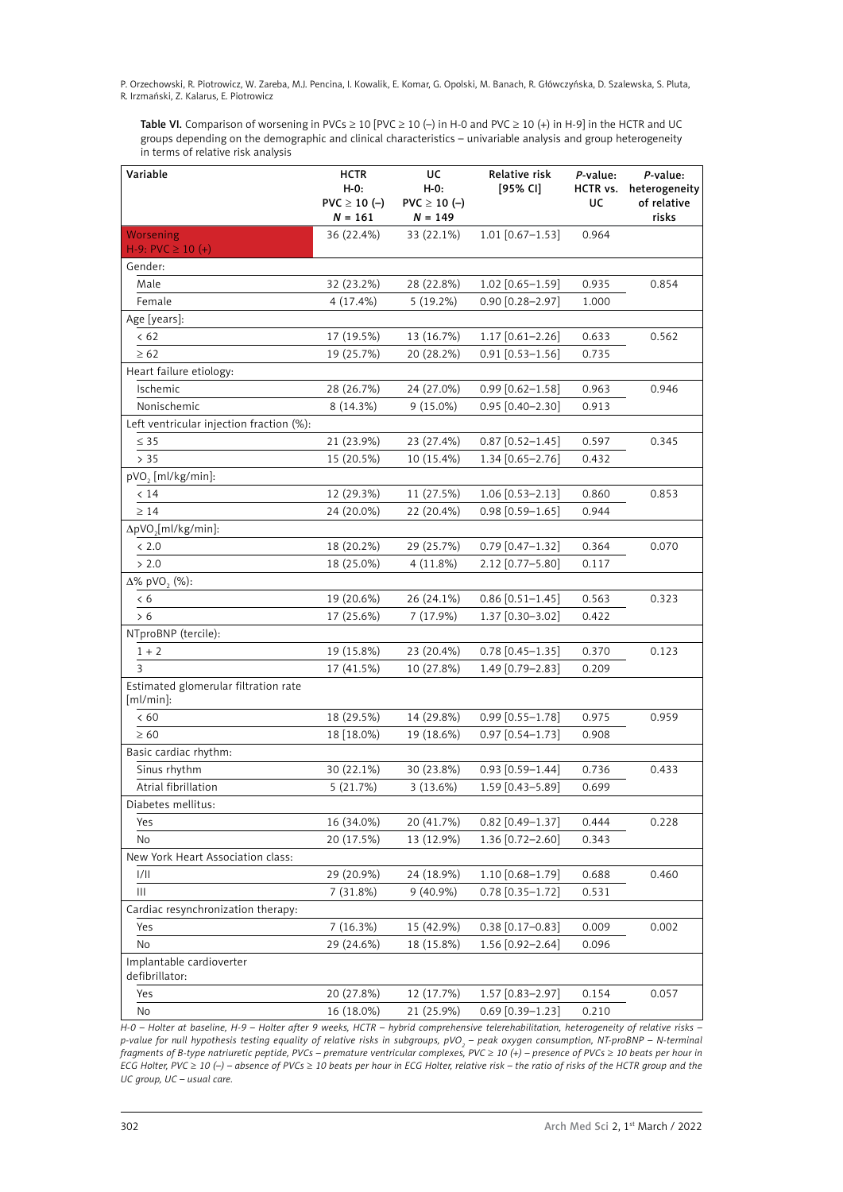Table VI. Comparison of worsening in PVCs  $\geq 10$  [PVC  $\geq 10$  (-) in H-0 and PVC  $\geq 10$  (+) in H-9] in the HCTR and UC groups depending on the demographic and clinical characteristics – univariable analysis and group heterogeneity in terms of relative risk analysis

| Variable                                             | <b>HCTR</b><br>$H-O:$<br>$PVC \ge 10 (-)$<br>$N = 161$ | UC<br>H-0:<br>$PVC \ge 10 (-)$<br>$N = 149$ | Relative risk<br>[95% CI] | P-value:<br>HCTR vs.<br>UC | P-value:<br>heterogeneity<br>of relative<br>risks |
|------------------------------------------------------|--------------------------------------------------------|---------------------------------------------|---------------------------|----------------------------|---------------------------------------------------|
| Worsening                                            | 36 (22.4%)                                             | 33 (22.1%)                                  | $1.01$ [0.67-1.53]        | 0.964                      |                                                   |
| H-9: PVC $\geq$ 10 (+)                               |                                                        |                                             |                           |                            |                                                   |
| Gender:                                              |                                                        |                                             |                           |                            |                                                   |
| Male                                                 | 32 (23.2%)                                             | 28 (22.8%)                                  | 1.02 [0.65-1.59]          | 0.935                      | 0.854                                             |
| Female                                               | 4(17.4%)                                               | 5(19.2%)                                    | 0.90 [0.28-2.97]          | 1.000                      |                                                   |
| Age [years]:                                         |                                                        |                                             |                           |                            |                                                   |
| < 62                                                 | 17 (19.5%)                                             | 13 (16.7%)                                  | 1.17 [0.61-2.26]          | 0.633                      | 0.562                                             |
| $\geq 62$                                            | 19 (25.7%)                                             | 20 (28.2%)                                  | $0.91$ [0.53-1.56]        | 0.735                      |                                                   |
| Heart failure etiology:                              |                                                        |                                             |                           |                            |                                                   |
| Ischemic                                             | 28 (26.7%)                                             | 24 (27.0%)                                  | $0.99$ [0.62-1.58]        | 0.963                      | 0.946                                             |
| Nonischemic                                          | 8 (14.3%)                                              | $9(15.0\%)$                                 | $0.95$ [0.40-2.30]        | 0.913                      |                                                   |
| Left ventricular injection fraction (%):             |                                                        |                                             |                           |                            |                                                   |
| $\leq$ 35                                            | 21 (23.9%)                                             | 23 (27.4%)                                  | $0.87$ [0.52-1.45]        | 0.597                      | 0.345                                             |
| > 35                                                 | 15 (20.5%)                                             | 10 (15.4%)                                  | 1.34 [0.65-2.76]          | 0.432                      |                                                   |
| pVO <sub>2</sub> [ml/kg/min]:                        |                                                        |                                             |                           |                            |                                                   |
| < 14                                                 | 12 (29.3%)                                             | 11 (27.5%)                                  | $1.06$ [0.53-2.13]        | 0.860                      | 0.853                                             |
| $\geq 14$                                            | 24 (20.0%)                                             | 22 (20.4%)                                  | $0.98$ [0.59-1.65]        | 0.944                      |                                                   |
| ΔpVO <sub>2</sub> [ml/kg/min]:                       |                                                        |                                             |                           |                            |                                                   |
| < 2.0                                                | 18 (20.2%)                                             | 29 (25.7%)                                  | $0.79$ [0.47-1.32]        | 0.364                      | 0.070                                             |
| > 2.0                                                | 18 (25.0%)                                             | 4 (11.8%)                                   | 2.12 [0.77-5.80]          | 0.117                      |                                                   |
| $\Delta\%$ pVO <sub>2</sub> (%):                     |                                                        |                                             |                           |                            |                                                   |
| < 6                                                  | 19 (20.6%)                                             | 26 (24.1%)                                  | $0.86$ [0.51-1.45]        | 0.563                      | 0.323                                             |
| > 6                                                  | 17 (25.6%)                                             | 7(17.9%)                                    | 1.37 [0.30-3.02]          | 0.422                      |                                                   |
| NTproBNP (tercile):                                  |                                                        |                                             |                           |                            |                                                   |
| $1\,+\,2$                                            | 19 (15.8%)                                             | 23 (20.4%)                                  | $0.78$ [0.45-1.35]        | 0.370                      | 0.123                                             |
| 3                                                    | 17 (41.5%)                                             | 10 (27.8%)                                  | 1.49 [0.79-2.83]          | 0.209                      |                                                   |
| Estimated glomerular filtration rate<br>$[ml/min]$ : |                                                        |                                             |                           |                            |                                                   |
| < 60                                                 | 18 (29.5%)                                             | 14 (29.8%)                                  | $0.99$ [0.55-1.78]        | 0.975                      | 0.959                                             |
| $\geq 60$                                            | 18 [18.0%]                                             | 19 (18.6%)                                  | $0.97$ [0.54-1.73]        | 0.908                      |                                                   |
| Basic cardiac rhythm:                                |                                                        |                                             |                           |                            |                                                   |
| Sinus rhythm                                         | 30 (22.1%)                                             | 30 (23.8%)                                  | $0.93$ [0.59-1.44]        | 0.736                      | 0.433                                             |
| Atrial fibrillation                                  | 5(21.7%)                                               | 3 (13.6%)                                   | 1.59 [0.43-5.89]          | 0.699                      |                                                   |
| Diabetes mellitus:                                   |                                                        |                                             |                           |                            |                                                   |
| Yes                                                  | 16 (34.0%)                                             | 20 (41.7%)                                  | $0.82$ [0.49-1.37]        | 0.444                      | 0.228                                             |
| No                                                   | 20 (17.5%)                                             | 13 (12.9%)                                  | 1.36 [0.72-2.60]          | 0.343                      |                                                   |
| New York Heart Association class:                    |                                                        |                                             |                           |                            |                                                   |
| 1/11                                                 | 29 (20.9%)                                             | 24 (18.9%)                                  | 1.10 [0.68-1.79]          | 0.688                      | 0.460                                             |
| $\mathop{\rm III}\nolimits$                          | 7(31.8%)                                               | $9(40.9\%)$                                 | $0.78$ [0.35-1.72]        | 0.531                      |                                                   |
| Cardiac resynchronization therapy:                   |                                                        |                                             |                           |                            |                                                   |
| Yes                                                  | 7(16.3%)                                               | 15 (42.9%)                                  | $0.38$ [0.17-0.83]        | 0.009                      | 0.002                                             |
| No                                                   | 29 (24.6%)                                             | 18 (15.8%)                                  | 1.56 [0.92-2.64]          | 0.096                      |                                                   |
| Implantable cardioverter<br>defibrillator:           |                                                        |                                             |                           |                            |                                                   |
| Yes                                                  | 20 (27.8%)                                             | 12 (17.7%)                                  | 1.57 [0.83-2.97]          | 0.154                      | 0.057                                             |
| No                                                   | 16 (18.0%)                                             | 21 (25.9%)                                  | $0.69$ [0.39-1.23]        | 0.210                      |                                                   |

*H-0 – Holter at baseline, H-9 – Holter after 9 weeks, HCTR – hybrid comprehensive telerehabilitation, heterogeneity of relative risks –*  p-value for null hypothesis testing equality of relative risks in subgroups, pVO<sub>2</sub> – peak oxygen consumption, NT-proBNP – N-terminal *fragments of B-type natriuretic peptide, PVCs – premature ventricular complexes, PVC* ≥ *10 (+) – presence of PVCs* ≥ *10 beats per hour in ECG Holter, PVC* ≥ *10 (–) – absence of PVCs* ≥ *10 beats per hour in ECG Holter, relative risk – the ratio of risks of the HCTR group and the UC group, UC – usual care.*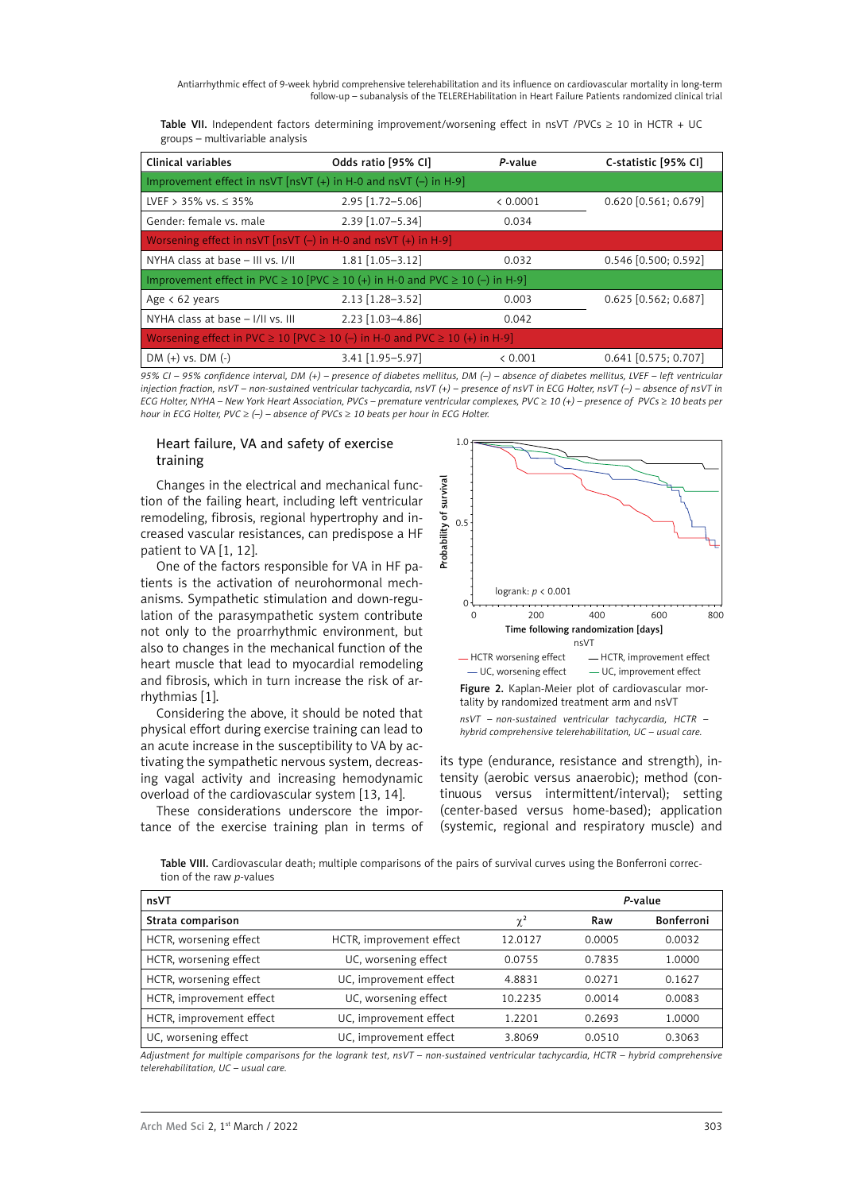Table VII. Independent factors determining improvement/worsening effect in nsVT /PVCs  $\geq$  10 in HCTR + UC groups – multivariable analysis

| Clinical variables                                                                          | Odds ratio [95% CI] | P-value  | C-statistic [95% CI]   |  |  |  |
|---------------------------------------------------------------------------------------------|---------------------|----------|------------------------|--|--|--|
| Improvement effect in nsVT $[nSVT (+)$ in H-0 and nsVT $(-)$ in H-9                         |                     |          |                        |  |  |  |
| LVEF > 35% vs. $\leq$ 35%                                                                   | 2.95 [1.72-5.06]    | < 0.0001 | $0.620$ [0.561; 0.679] |  |  |  |
| Gender: female vs. male                                                                     | $2.39$ [1.07-5.34]  | 0.034    |                        |  |  |  |
| Worsening effect in nsVT [nsVT $(-)$ in H-0 and nsVT $(+)$ in H-9]                          |                     |          |                        |  |  |  |
| NYHA class at base - III vs. I/II                                                           | $1.81$ [1.05-3.12]  | 0.032    | $0.546$ [0.500; 0.592] |  |  |  |
| Improvement effect in PVC $\geq$ 10 (PVC $\geq$ 10 (+) in H-0 and PVC $\geq$ 10 (-) in H-9] |                     |          |                        |  |  |  |
| Age $< 62$ years                                                                            | $2.13$ [1.28-3.52]  | 0.003    | $0.625$ [0.562; 0.687] |  |  |  |
| NYHA class at base - I/II vs. III                                                           | 2.23 [1.03-4.86]    | 0.042    |                        |  |  |  |
| Worsening effect in PVC $\geq$ 10 [PVC $\geq$ 10 (-) in H-0 and PVC $\geq$ 10 (+) in H-9]   |                     |          |                        |  |  |  |
| $DM (+) vs. DM (-)$                                                                         | 3.41 [1.95-5.97]    | & 0.001  | $0.641$ [0.575; 0.707] |  |  |  |

*95% CI – 95% confidence interval, DM (+) – presence of diabetes mellitus, DM (–) – absence of diabetes mellitus, LVEF – left ventricular injection fraction, nsVT – non-sustained ventricular tachycardia, nsVT (+) – presence of nsVT in ECG Holter, nsVT (–) – absence of nsVT in ECG Holter, NYHA – New York Heart Association, PVCs – premature ventricular complexes, PVC ≥ 10 (+) – presence of PVCs ≥ 10 beats per hour in ECG Holter, PVC* ≥ *(–) – absence of PVCs* ≥ *10 beats per hour in ECG Holter.*

#### Heart failure, VA and safety of exercise training

Changes in the electrical and mechanical function of the failing heart, including left ventricular remodeling, fibrosis, regional hypertrophy and increased vascular resistances, can predispose a HF patient to VA [1, 12].

One of the factors responsible for VA in HF patients is the activation of neurohormonal mechanisms. Sympathetic stimulation and down-regulation of the parasympathetic system contribute not only to the proarrhythmic environment, but also to changes in the mechanical function of the heart muscle that lead to myocardial remodeling and fibrosis, which in turn increase the risk of arrhythmias [1].

Considering the above, it should be noted that physical effort during exercise training can lead to an acute increase in the susceptibility to VA by activating the sympathetic nervous system, decreasing vagal activity and increasing hemodynamic overload of the cardiovascular system [13, 14].

These considerations underscore the importance of the exercise training plan in terms of



its type (endurance, resistance and strength), intensity (aerobic versus anaerobic); method (continuous versus intermittent/interval); setting (center-based versus home-based); application (systemic, regional and respiratory muscle) and

Table VIII. Cardiovascular death; multiple comparisons of the pairs of survival curves using the Bonferroni correction of the raw *p-*values

| nsVT                     |                          |          |        | P-value    |
|--------------------------|--------------------------|----------|--------|------------|
| Strata comparison        |                          | $\chi^2$ | Raw    | Bonferroni |
| HCTR, worsening effect   | HCTR, improvement effect | 12.0127  | 0.0005 | 0.0032     |
| HCTR, worsening effect   | UC, worsening effect     | 0.0755   | 0.7835 | 1.0000     |
| HCTR, worsening effect   | UC, improvement effect   | 4.8831   | 0.0271 | 0.1627     |
| HCTR, improvement effect | UC, worsening effect     | 10.2235  | 0.0014 | 0.0083     |
| HCTR, improvement effect | UC, improvement effect   | 1.2201   | 0.2693 | 1.0000     |
| UC, worsening effect     | UC, improvement effect   | 3.8069   | 0.0510 | 0.3063     |

*Adjustment for multiple comparisons for the logrank test, nsVT – non-sustained ventricular tachycardia, HCTR – hybrid comprehensive telerehabilitation, UC – usual care.*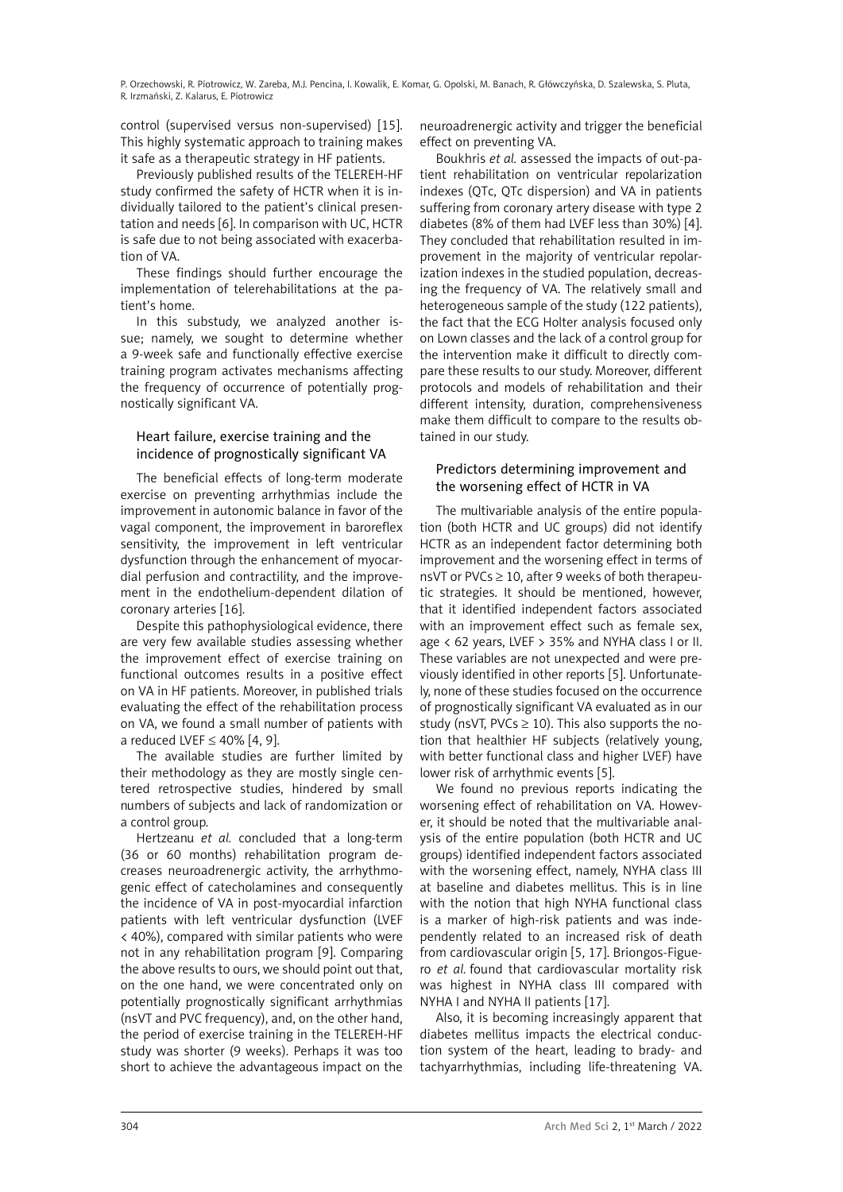control (supervised versus non-supervised) [15]. This highly systematic approach to training makes it safe as a therapeutic strategy in HF patients.

Previously published results of the TELEREH-HF study confirmed the safety of HCTR when it is individually tailored to the patient's clinical presentation and needs [6]. In comparison with UC, HCTR is safe due to not being associated with exacerbation of VA.

These findings should further encourage the implementation of telerehabilitations at the patient's home.

In this substudy, we analyzed another issue; namely, we sought to determine whether a 9-week safe and functionally effective exercise training program activates mechanisms affecting the frequency of occurrence of potentially prognostically significant VA.

# Heart failure, exercise training and the incidence of prognostically significant VA

The beneficial effects of long-term moderate exercise on preventing arrhythmias include the improvement in autonomic balance in favor of the vagal component, the improvement in baroreflex sensitivity, the improvement in left ventricular dysfunction through the enhancement of myocardial perfusion and contractility, and the improvement in the endothelium-dependent dilation of coronary arteries [16].

Despite this pathophysiological evidence, there are very few available studies assessing whether the improvement effect of exercise training on functional outcomes results in a positive effect on VA in HF patients. Moreover, in published trials evaluating the effect of the rehabilitation process on VA, we found a small number of patients with a reduced LVEF ≤ 40% [4, 9].

The available studies are further limited by their methodology as they are mostly single centered retrospective studies, hindered by small numbers of subjects and lack of randomization or a control group.

Hertzeanu *et al.* concluded that a long-term (36 or 60 months) rehabilitation program decreases neuroadrenergic activity, the arrhythmogenic effect of catecholamines and consequently the incidence of VA in post-myocardial infarction patients with left ventricular dysfunction (LVEF < 40%), compared with similar patients who were not in any rehabilitation program [9]. Comparing the above results to ours, we should point out that, on the one hand, we were concentrated only on potentially prognostically significant arrhythmias (nsVT and PVC frequency), and, on the other hand, the period of exercise training in the TELEREH-HF study was shorter (9 weeks). Perhaps it was too short to achieve the advantageous impact on the

neuroadrenergic activity and trigger the beneficial effect on preventing VA.

Boukhris *et al.* assessed the impacts of out-patient rehabilitation on ventricular repolarization indexes (QTc, QTc dispersion) and VA in patients suffering from coronary artery disease with type 2 diabetes (8% of them had LVEF less than 30%) [4]. They concluded that rehabilitation resulted in improvement in the majority of ventricular repolarization indexes in the studied population, decreasing the frequency of VA. The relatively small and heterogeneous sample of the study (122 patients), the fact that the ECG Holter analysis focused only on Lown classes and the lack of a control group for the intervention make it difficult to directly compare these results to our study. Moreover, different protocols and models of rehabilitation and their different intensity, duration, comprehensiveness make them difficult to compare to the results obtained in our study.

# Predictors determining improvement and the worsening effect of HCTR in VA

The multivariable analysis of the entire population (both HCTR and UC groups) did not identify HCTR as an independent factor determining both improvement and the worsening effect in terms of nsVT or PVCs ≥ 10, after 9 weeks of both therapeutic strategies. It should be mentioned, however, that it identified independent factors associated with an improvement effect such as female sex, age < 62 years, LVEF > 35% and NYHA class I or II. These variables are not unexpected and were previously identified in other reports [5]. Unfortunately, none of these studies focused on the occurrence of prognostically significant VA evaluated as in our study (nsVT, PVCs  $\geq$  10). This also supports the notion that healthier HF subjects (relatively young, with better functional class and higher LVEF) have lower risk of arrhythmic events [5].

We found no previous reports indicating the worsening effect of rehabilitation on VA. However, it should be noted that the multivariable analysis of the entire population (both HCTR and UC groups) identified independent factors associated with the worsening effect, namely, NYHA class III at baseline and diabetes mellitus. This is in line with the notion that high NYHA functional class is a marker of high-risk patients and was independently related to an increased risk of death from cardiovascular origin [5, 17]. Briongos-Figuero *et al.* found that cardiovascular mortality risk was highest in NYHA class III compared with NYHA I and NYHA II patients [17].

Also, it is becoming increasingly apparent that diabetes mellitus impacts the electrical conduction system of the heart, leading to brady- and tachyarrhythmias, including life-threatening VA.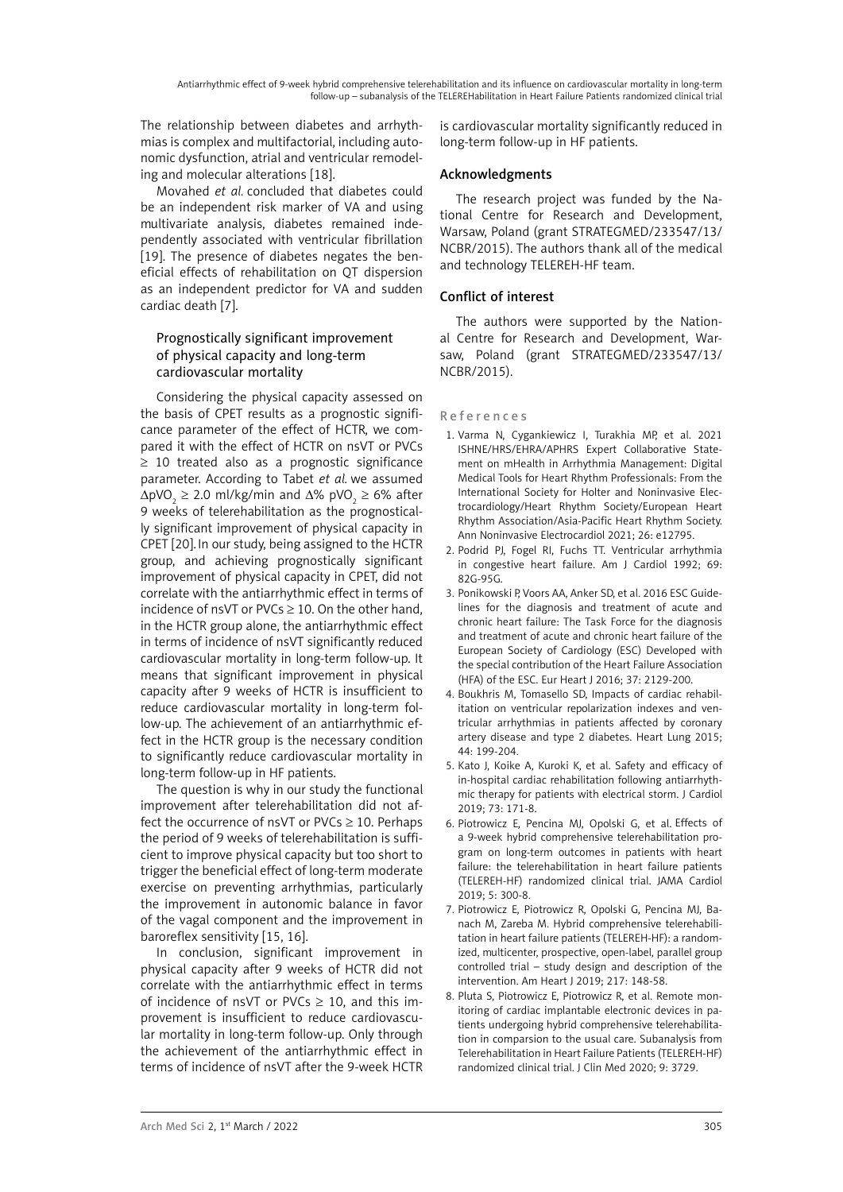The relationship between diabetes and arrhythmias is complex and multifactorial, including autonomic dysfunction, atrial and ventricular remodeling and molecular alterations [18].

Movahed *et al.* concluded that diabetes could be an independent risk marker of VA and using multivariate analysis, diabetes remained independently associated with ventricular fibrillation [19]. The presence of diabetes negates the beneficial effects of rehabilitation on QT dispersion as an independent predictor for VA and sudden cardiac death [7].

# Prognostically significant improvement of physical capacity and long-term cardiovascular mortality

Considering the physical capacity assessed on the basis of CPET results as a prognostic significance parameter of the effect of HCTR, we compared it with the effect of HCTR on nsVT or PVCs ≥ 10 treated also as a prognostic significance parameter. According to Tabet *et al.* we assumed  $\Delta pVO_2 \geq 2.0$  ml/kg/min and  $\Delta\%$  pVO<sub>2</sub>  $\geq 6\%$  after 9 weeks of telerehabilitation as the prognostically significant improvement of physical capacity in CPET [20].In our study, being assigned to the HCTR group, and achieving prognostically significant improvement of physical capacity in CPET, did not correlate with the antiarrhythmic effect in terms of incidence of nsVT or PVCs  $\geq$  10. On the other hand, in the HCTR group alone, the antiarrhythmic effect in terms of incidence of nsVT significantly reduced cardiovascular mortality in long-term follow-up. It means that significant improvement in physical capacity after 9 weeks of HCTR is insufficient to reduce cardiovascular mortality in long-term follow-up. The achievement of an antiarrhythmic effect in the HCTR group is the necessary condition to significantly reduce cardiovascular mortality in long-term follow-up in HF patients.

The question is why in our study the functional improvement after telerehabilitation did not affect the occurrence of nsVT or PVCs  $\geq$  10. Perhaps the period of 9 weeks of telerehabilitation is sufficient to improve physical capacity but too short to trigger the beneficial effect of long-term moderate exercise on preventing arrhythmias, particularly the improvement in autonomic balance in favor of the vagal component and the improvement in baroreflex sensitivity [15, 16].

In conclusion, significant improvement in physical capacity after 9 weeks of HCTR did not correlate with the antiarrhythmic effect in terms of incidence of nsVT or PVCs  $\geq$  10, and this improvement is insufficient to reduce cardiovascular mortality in long-term follow-up. Only through the achievement of the antiarrhythmic effect in terms of incidence of nsVT after the 9-week HCTR is cardiovascular mortality significantly reduced in long-term follow-up in HF patients.

# Acknowledgments

The research project was funded by the National Centre for Research and Development, Warsaw, Poland (grant STRATEGMED/233547/13/ NCBR/2015). The authors thank all of the medical and technology TELEREH-HF team.

# Conflict of interest

The authors were supported by the National Centre for Research and Development, Warsaw, Poland (grant STRATEGMED/233547/13/ NCBR/2015).

# References

- 1. Varma N, Cygankiewicz I, Turakhia MP, et al. 2021 ISHNE/HRS/EHRA/APHRS Expert Collaborative Statement on mHealth in Arrhythmia Management: Digital Medical Tools for Heart Rhythm Professionals: From the International Society for Holter and Noninvasive Electrocardiology/Heart Rhythm Society/European Heart Rhythm Association/Asia-Pacific Heart Rhythm Society. Ann Noninvasive Electrocardiol 2021; 26: e12795.
- 2. [Podrid PJ,](https://www.ncbi.nlm.nih.gov/pubmed/?term=Podrid PJ%5BAuthor%5D&cauthor=true&cauthor_uid=1626494) [Fogel RI,](https://www.ncbi.nlm.nih.gov/pubmed/?term=Fogel RI%5BAuthor%5D&cauthor=true&cauthor_uid=1626494) [Fuchs TT](https://www.ncbi.nlm.nih.gov/pubmed/?term=Fuchs TT%5BAuthor%5D&cauthor=true&cauthor_uid=1626494). Ventricular arrhythmia in congestive heart failure. [Am J Cardiol](file:///D:/Prace/AMS%20manuscript%20accepted_roboczy/../../Abc/Desktop/CIRCULATION JOURNAL/Am J Cardiol) 1992; 69: 82G-95G.
- 3. Ponikowski P, Voors AA, Anker SD, et al. 2016 ESC Guidelines for the diagnosis and treatment of acute and chronic heart failure: The Task Force for the diagnosis and treatment of acute and chronic heart failure of the European Society of Cardiology (ESC) Developed with the special contribution of the Heart Failure Association (HFA) of the ESC. [Eur Heart J](file:///D:/Prace/AMS%20manuscript%20accepted_roboczy/../../Abc/Desktop/CIRCULATION JOURNAL/Eur Heart J) 2016; 37: 2129-200.
- 4. [Boukhris M,](https://www.ncbi.nlm.nih.gov/pubmed/?term=Boukhris M%5BAuthor%5D&cauthor=true&cauthor_uid=25842357) [Tomasello SD](https://www.ncbi.nlm.nih.gov/pubmed/?term=Tomasello SD%5BAuthor%5D&cauthor=true&cauthor_uid=25842357), Impacts of cardiac rehabilitation on ventricular repolarization indexes and ventricular arrhythmias in patients affected by coronary artery disease and type 2 diabetes. [Heart Lung](file:///D:/Prace/AMS%20manuscript%20accepted_roboczy/../../Abc/Desktop/CIRCULATION JOURNAL/Heart  Lung,) 2015; 44: 199-204.
- 5. [Kato J](https://www.ncbi.nlm.nih.gov/pubmed/?term=Kato J%5BAuthor%5D&cauthor=true&cauthor_uid=30342788), [Koike A](https://www.ncbi.nlm.nih.gov/pubmed/?term=Koike A%5BAuthor%5D&cauthor=true&cauthor_uid=30342788), [Kuroki K](https://www.ncbi.nlm.nih.gov/pubmed/?term=Kuroki K%5BAuthor%5D&cauthor=true&cauthor_uid=30342788), et al. Safety and efficacy of in-hospital cardiac rehabilitation following antiarrhythmic therapy for patients with electrical storm. J Cardiol 2019; 73: 171-8.
- 6. [Piotrowicz E,](https://www.ncbi.nlm.nih.gov/pubmed/?term=Piotrowicz E%5BAuthor%5D&cauthor=true&cauthor_uid=31734701) [Pencina MJ](https://www.ncbi.nlm.nih.gov/pubmed/?term=Pencina MJ%5BAuthor%5D&cauthor=true&cauthor_uid=31734701), [Opolski G](https://www.ncbi.nlm.nih.gov/pubmed/?term=Opolski G%5BAuthor%5D&cauthor=true&cauthor_uid=31734701), et al. Effects of a 9-week hybrid comprehensive telerehabilitation program on long-term outcomes in patients with heart failure: the telerehabilitation in heart failure patients (TELEREH-HF) randomized clinical trial. [JAMA Cardiol](file:///D:/Prace/AMS%20manuscript%20accepted_roboczy/../../Abc/Desktop/CIRCULATION JOURNAL/JAMA Cardiol. 2019;5:300-308) [2019; 5: 300-8](file:///D:/Prace/AMS%20manuscript%20accepted_roboczy/../../Abc/Desktop/CIRCULATION JOURNAL/JAMA Cardiol. 2019;5:300-308).
- 7. Piotrowicz E, Piotrowicz R, Opolski G, Pencina MJ, Banach M, Zareba M. Hybrid comprehensive telerehabilitation in heart failure patients (TELEREH-HF): a randomized, multicenter, prospective, open-label, parallel group controlled trial – study design and description of the intervention. [Am Heart J 2019;](https://www.ncbi.nlm.nih.gov/pubmed/31654944) 217: 148-58.
- 8. Pluta S, Piotrowicz E, Piotrowicz R, et al. Remote monitoring of cardiac implantable electronic devices in patients undergoing hybrid comprehensive telerehabilitation in comparsion to the usual care. Subanalysis from Telerehabilitation in Heart Failure Patients (TELEREH-HF) randomized clinical trial. J Clin Med 2020; 9: 3729.